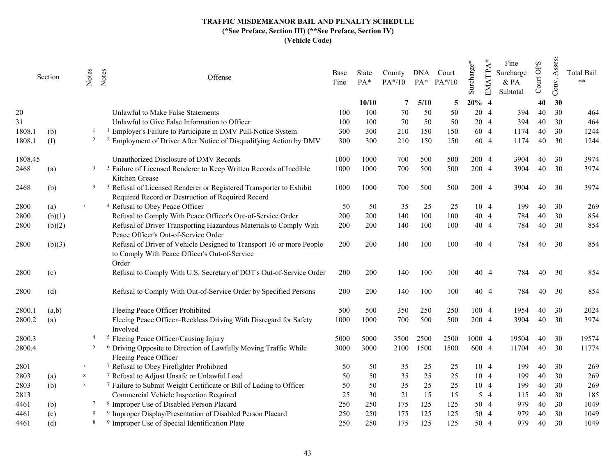|         | Section | Notes          | Notes<br>Offense                                                                                                                    | Base<br>Fine | State<br>PA* | County<br>$PA*/10$ |      | DNA Court<br>PA* PA*/10 | Surcharge* | EMAT PA | Fine<br>Surcharge<br>& PA<br>Subtotal | Court OPS | Assess<br>Conv. | <b>Total Bail</b><br>$**$ |
|---------|---------|----------------|-------------------------------------------------------------------------------------------------------------------------------------|--------------|--------------|--------------------|------|-------------------------|------------|---------|---------------------------------------|-----------|-----------------|---------------------------|
|         |         |                |                                                                                                                                     |              | 10/10        | 7                  | 5/10 | 5                       | $20%$ 4    |         |                                       | 40        | 30              |                           |
| 20      |         |                | Unlawful to Make False Statements                                                                                                   | 100          | 100          | 70                 | 50   | 50                      |            | 20 4    | 394                                   | 40        | 30              | 464                       |
| 31      |         |                | Unlawful to Give False Information to Officer                                                                                       | 100          | 100          | 70                 | 50   | 50                      |            | 20 4    | 394                                   | 40        | 30              | 464                       |
| 1808.1  | (b)     |                | <sup>1</sup> Employer's Failure to Participate in DMV Pull-Notice System                                                            | 300          | 300          | 210                | 150  | 150                     |            | 60 4    | 1174                                  | 40        | 30              | 1244                      |
| 1808.1  | (f)     | $\overline{c}$ | <sup>2</sup> Employment of Driver After Notice of Disqualifying Action by DMV                                                       | 300          | 300          | 210                | 150  | 150                     |            | 60 4    | 1174                                  | 40        | 30              | 1244                      |
| 1808.45 |         |                | Unauthorized Disclosure of DMV Records                                                                                              | 1000         | 1000         | 700                | 500  | 500                     |            | 200 4   | 3904                                  | 40        | 30              | 3974                      |
| 2468    | (a)     | 3              | <sup>3</sup> Failure of Licensed Renderer to Keep Written Records of Inedible<br>Kitchen Grease                                     | 1000         | 1000         | 700                | 500  | 500                     | 200 4      |         | 3904                                  | 40        | 30              | 3974                      |
| 2468    | (b)     | $\mathbf{3}$   | <sup>3</sup> Refusal of Licensed Renderer or Registered Transporter to Exhibit<br>Required Record or Destruction of Required Record | 1000         | 1000         | 700                | 500  | 500                     |            | 200 4   | 3904                                  | 40        | 30              | 3974                      |
| 2800    | (a)     | $\mathbf X$    | <sup>4</sup> Refusal to Obey Peace Officer                                                                                          | 50           | 50           | 35                 | 25   | 25                      |            | 10 4    | 199                                   | 40        | 30              | 269                       |
| 2800    | (b)(1)  |                | Refusal to Comply With Peace Officer's Out-of-Service Order                                                                         | 200          | 200          | 140                | 100  | 100                     |            | 40 4    | 784                                   | 40        | 30              | 854                       |
| 2800    | (b)(2)  |                | Refusal of Driver Transporting Hazardous Materials to Comply With<br>Peace Officer's Out-of-Service Order                           | 200          | 200          | 140                | 100  | 100                     |            | 40 4    | 784                                   | 40        | 30              | 854                       |
| 2800    | (b)(3)  |                | Refusal of Driver of Vehicle Designed to Transport 16 or more People<br>to Comply With Peace Officer's Out-of-Service<br>Order      | 200          | 200          | 140                | 100  | 100                     |            | 40 4    | 784                                   | 40        | 30              | 854                       |
| 2800    | (c)     |                | Refusal to Comply With U.S. Secretary of DOT's Out-of-Service Order                                                                 | 200          | 200          | 140                | 100  | 100                     |            | 40 4    | 784                                   | 40        | 30              | 854                       |
| 2800    | (d)     |                | Refusal to Comply With Out-of-Service Order by Specified Persons                                                                    | 200          | 200          | 140                | 100  | 100                     |            | 40 4    | 784                                   | 40        | 30              | 854                       |
| 2800.1  | (a,b)   |                | Fleeing Peace Officer Prohibited                                                                                                    | 500          | 500          | 350                | 250  | 250                     |            | 100 4   | 1954                                  | 40        | 30              | 2024                      |
| 2800.2  | (a)     |                | Fleeing Peace Officer-Reckless Driving With Disregard for Safety<br>Involved                                                        | 1000         | 1000         | 700                | 500  | 500                     | 200 4      |         | 3904                                  | 40        | 30              | 3974                      |
| 2800.3  |         | $\overline{4}$ | <sup>5</sup> Fleeing Peace Officer/Causing Injury                                                                                   | 5000         | 5000         | 3500               | 2500 | 2500                    | 1000 4     |         | 19504                                 | 40        | 30              | 19574                     |
| 2800.4  |         | -5             | <sup>6</sup> Driving Opposite to Direction of Lawfully Moving Traffic While<br>Fleeing Peace Officer                                | 3000         | 3000         | 2100               | 1500 | 1500                    | 600 4      |         | 11704                                 | 40        | 30              | 11774                     |
| 2801    |         | $\mathbf X$    | <sup>7</sup> Refusal to Obey Firefighter Prohibited                                                                                 | 50           | 50           | 35                 | 25   | 25                      |            | 10 4    | 199                                   | 40        | 30              | 269                       |
| 2803    | (a)     | $\mathbf X$    | <sup>7</sup> Refusal to Adjust Unsafe or Unlawful Load                                                                              | 50           | 50           | 35                 | 25   | 25                      |            | 10 4    | 199                                   | 40        | 30              | 269                       |
| 2803    | (b)     | $\mathbf X$    | <sup>7</sup> Failure to Submit Weight Certificate or Bill of Lading to Officer                                                      | 50           | 50           | 35                 | 25   | 25                      |            | 104     | 199                                   | 40        | 30              | 269                       |
| 2813    |         |                | Commercial Vehicle Inspection Required                                                                                              | 25           | 30           | 21                 | 15   | 15                      |            | 54      | 115                                   | 40        | 30              | 185                       |
| 4461    | (b)     | $\tau$         | <sup>8</sup> Improper Use of Disabled Person Placard                                                                                | 250          | 250          | 175                | 125  | 125                     |            | 50 4    | 979                                   | 40        | 30              | 1049                      |
| 4461    | (c)     | -8             | <sup>9</sup> Improper Display/Presentation of Disabled Person Placard                                                               | 250          | 250          | 175                | 125  | 125                     |            | 50 4    | 979                                   | 40        | 30              | 1049                      |
| 4461    | (d)     | 8              | <sup>9</sup> Improper Use of Special Identification Plate                                                                           | 250          | 250          | 175                | 125  | 125                     |            | 50 4    | 979                                   | 40        | 30              | 1049                      |
|         |         |                |                                                                                                                                     |              |              |                    |      |                         |            |         |                                       |           |                 |                           |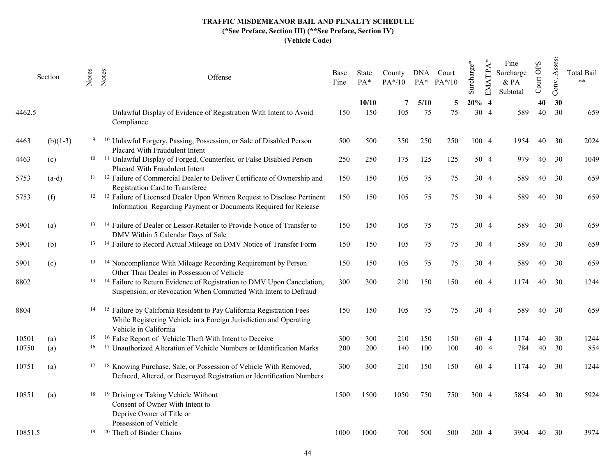|         | Section    | Notes | Notes | Offense                                                                                                                                                                        | Base<br>Fine | State<br>$PA*$ | County<br>$PA*/10$ | DNA        | Court<br>$PA^*$ $PA^*/10$ | Surcharge* | PA<br>EMAT1                                | Fine<br>Surcharge<br>& PA<br>Subtotal | Court OPS | Assess<br>Conv. | <b>Total Bail</b><br>$**$ |
|---------|------------|-------|-------|--------------------------------------------------------------------------------------------------------------------------------------------------------------------------------|--------------|----------------|--------------------|------------|---------------------------|------------|--------------------------------------------|---------------------------------------|-----------|-----------------|---------------------------|
| 4462.5  |            |       |       | Unlawful Display of Evidence of Registration With Intent to Avoid<br>Compliance                                                                                                | 150          | 10/10<br>150   | 7<br>105           | 5/10<br>75 | 5<br>75                   | 20%<br>30  | $\overline{\mathcal{L}}$<br>$\overline{4}$ | 589                                   | 40<br>40  | 30<br>30        | 659                       |
| 4463    | $(b)(1-3)$ | 9     |       | <sup>10</sup> Unlawful Forgery, Passing, Possession, or Sale of Disabled Person<br>Placard With Fraudulent Intent                                                              | 500          | 500            | 350                | 250        | 250                       | 100 4      |                                            | 1954                                  | 40        | 30              | 2024                      |
| 4463    | (c)        |       |       | <sup>10</sup> <sup>11</sup> Unlawful Display of Forged, Counterfeit, or False Disabled Person<br>Placard With Fraudulent Intent                                                | 250          | 250            | 175                | 125        | 125                       |            | 50 4                                       | 979                                   | 40        | 30              | 1049                      |
| 5753    | $(a-d)$    | 11    |       | <sup>12</sup> Failure of Commercial Dealer to Deliver Certificate of Ownership and<br>Registration Card to Transferee                                                          | 150          | 150            | 105                | 75         | 75                        |            | 30 4                                       | 589                                   | 40        | 30              | 659                       |
| 5753    | (f)        | 12    |       | <sup>13</sup> Failure of Licensed Dealer Upon Written Request to Disclose Pertinent<br>Information Regarding Payment or Documents Required for Release                         | 150          | 150            | 105                | 75         | 75                        |            | 30 4                                       | 589                                   | 40        | 30              | 659                       |
| 5901    | (a)        | 13    |       | <sup>14</sup> Failure of Dealer or Lessor-Retailer to Provide Notice of Transfer to<br>DMV Within 5 Calendar Days of Sale                                                      | 150          | 150            | 105                | 75         | 75                        |            | 30 4                                       | 589                                   | 40        | 30              | 659                       |
| 5901    | (b)        | 13    |       | <sup>14</sup> Failure to Record Actual Mileage on DMV Notice of Transfer Form                                                                                                  | 150          | 150            | 105                | 75         | 75                        |            | 30 4                                       | 589                                   | 40        | 30              | 659                       |
| 5901    | (c)        | 13    |       | <sup>14</sup> Noncompliance With Mileage Recording Requirement by Person<br>Other Than Dealer in Possession of Vehicle                                                         | 150          | 150            | 105                | 75         | 75                        |            | 30 4                                       | 589                                   | 40        | 30              | 659                       |
| 8802    |            |       |       | <sup>13</sup> <sup>14</sup> Failure to Return Evidence of Registration to DMV Upon Cancelation,<br>Suspension, or Revocation When Committed With Intent to Defraud             | 300          | 300            | 210                | 150        | 150                       |            | 60 4                                       | 1174                                  | 40        | 30              | 1244                      |
| 8804    |            | 14    |       | <sup>15</sup> Failure by California Resident to Pay California Registration Fees<br>While Registering Vehicle in a Foreign Jurisdiction and Operating<br>Vehicle in California | 150          | 150            | 105                | 75         | 75                        |            | 30 4                                       | 589                                   | 40        | 30              | 659                       |
| 10501   | (a)        | 15    |       | <sup>16</sup> False Report of Vehicle Theft With Intent to Deceive                                                                                                             | 300          | 300            | 210                | 150        | 150                       |            | 60 4                                       | 1174                                  | 40        | 30              | 1244                      |
| 10750   | (a)        | 16    |       | <sup>17</sup> Unauthorized Alteration of Vehicle Numbers or Identification Marks                                                                                               | 200          | 200            | 140                | 100        | 100                       |            | 40 4                                       | 784                                   | 40        | 30              | 854                       |
| 10751   | (a)        | 17    |       | <sup>18</sup> Knowing Purchase, Sale, or Possession of Vehicle With Removed,<br>Defaced, Altered, or Destroyed Registration or Identification Numbers                          | 300          | 300            | 210                | 150        | 150                       |            | 60 4                                       | 1174                                  | 40        | 30              | 1244                      |
| 10851   | (a)        | 18    |       | <sup>19</sup> Driving or Taking Vehicle Without<br>Consent of Owner With Intent to<br>Deprive Owner of Title or                                                                | 1500         | 1500           | 1050               | 750        | 750                       | 300 4      |                                            | 5854                                  | 40        | 30              | 5924                      |
| 10851.5 |            | 19    |       | Possession of Vehicle<br><sup>20</sup> Theft of Binder Chains                                                                                                                  | 1000         | 1000           | 700                | 500        | 500                       | 200 4      |                                            | 3904                                  | 40        | 30              | 3974                      |
|         |            |       |       |                                                                                                                                                                                |              |                |                    |            |                           |            |                                            |                                       |           |                 |                           |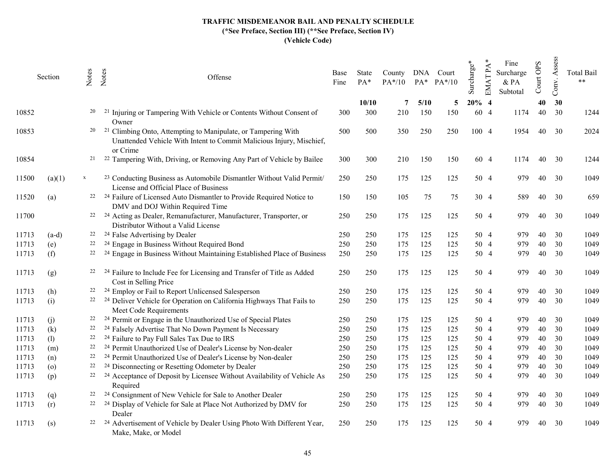|       | Section | Notes | Notes<br>Offense                                                                                                                                       | Base<br>Fine | State<br>$PA*$ | County<br>$PA*/10$ |      | DNA Court<br>$PA^*$ $PA^*/10$ | Surcharge* | PA<br><b>EMAT</b> | Fine<br>Surcharge<br>& PA<br>Subtotal | OPS<br>Court | Assess<br>Conv. | <b>Total Bail</b><br>$\ast$ $\ast$ |
|-------|---------|-------|--------------------------------------------------------------------------------------------------------------------------------------------------------|--------------|----------------|--------------------|------|-------------------------------|------------|-------------------|---------------------------------------|--------------|-----------------|------------------------------------|
|       |         |       |                                                                                                                                                        |              | 10/10          | 7                  | 5/10 | 5                             | 20%        | $\overline{4}$    |                                       | 40           | 30              |                                    |
| 10852 |         | 20    | Injuring or Tampering With Vehicle or Contents Without Consent of<br>Owner                                                                             | 300          | 300            | 210                | 150  | 150                           | 60         | $\overline{4}$    | 1174                                  | 40           | 30              | 1244                               |
| 10853 |         | 20    | Climbing Onto, Attempting to Manipulate, or Tampering With<br>- 21<br>Unattended Vehicle With Intent to Commit Malicious Injury, Mischief,<br>or Crime | 500          | 500            | 350                | 250  | 250                           |            | 100 4             | 1954                                  | 40           | 30              | 2024                               |
| 10854 |         | 21    | <sup>22</sup> Tampering With, Driving, or Removing Any Part of Vehicle by Bailee                                                                       | 300          | 300            | 210                | 150  | 150                           |            | 60 4              | 1174                                  | 40           | 30              | 1244                               |
| 11500 | (a)(1)  | X     | <sup>23</sup> Conducting Business as Automobile Dismantler Without Valid Permit/<br>License and Official Place of Business                             | 250          | 250            | 175                | 125  | 125                           |            | 50 4              | 979                                   | 40           | 30              | 1049                               |
| 11520 | (a)     |       | <sup>22</sup> <sup>24</sup> Failure of Licensed Auto Dismantler to Provide Required Notice to<br>DMV and DOJ Within Required Time                      | 150          | 150            | 105                | 75   | 75                            |            | 30 4              | 589.                                  | 40           | 30              | 659                                |
| 11700 |         |       | <sup>22</sup> <sup>24</sup> Acting as Dealer, Remanufacturer, Manufacturer, Transporter, or<br>Distributor Without a Valid License                     | 250          | 250            | 175                | 125  | 125                           |            | 50 4              | 979                                   | 40           | 30              | 1049                               |
| 11713 | $(a-d)$ | 22    | <sup>24</sup> False Advertising by Dealer                                                                                                              | 250          | 250            | 175                | 125  | 125                           |            | 50 4              | 979                                   | 40           | 30              | 1049                               |
| 11713 | (e)     | 22    | <sup>24</sup> Engage in Business Without Required Bond                                                                                                 | 250          | 250            | 175                | 125  | 125                           |            | 50 4              | 979                                   | 40           | 30              | 1049                               |
| 11713 | (f)     | 22    | <sup>24</sup> Engage in Business Without Maintaining Established Place of Business                                                                     | 250          | 250            | 175                | 125  | 125                           |            | 50 4              | 979                                   | 40           | 30              | 1049                               |
| 11713 | (g)     |       | <sup>24</sup> Failure to Include Fee for Licensing and Transfer of Title as Added<br>Cost in Selling Price                                             | 250          | 250            | 175                | 125  | 125                           |            | 50 4              | 979                                   | 40           | 30              | 1049                               |
| 11713 | (h)     |       | <sup>24</sup> Employ or Fail to Report Unlicensed Salesperson                                                                                          | 250          | 250            | 175                | 125  | 125                           |            | 50 4              | 979                                   | 40           | 30              | 1049                               |
| 11713 | (i)     |       | <sup>22</sup> <sup>24</sup> Deliver Vehicle for Operation on California Highways That Fails to<br>Meet Code Requirements                               | 250          | 250            | 175                | 125  | 125                           |            | 50 4              | 979                                   | 40           | 30              | 1049                               |
| 11713 | (j)     | 22    | <sup>24</sup> Permit or Engage in the Unauthorized Use of Special Plates                                                                               | 250          | 250            | 175                | 125  | 125                           |            | 50 4              | 979                                   | 40           | 30              | 1049                               |
| 11713 | (k)     | 22    | <sup>24</sup> Falsely Advertise That No Down Payment Is Necessary                                                                                      | 250          | 250            | 175                | 125  | 125                           |            | 50 4              | 979                                   | 40           | 30              | 1049                               |
| 11713 | (1)     | 22    | <sup>24</sup> Failure to Pay Full Sales Tax Due to IRS                                                                                                 | 250          | 250            | 175                | 125  | 125                           |            | 50 4              | 979                                   | 40           | 30              | 1049                               |
| 11713 | (m)     | 22    | <sup>24</sup> Permit Unauthorized Use of Dealer's License by Non-dealer                                                                                | 250          | 250            | 175                | 125  | 125                           |            | 50 4              | 979                                   | 40           | 30              | 1049                               |
| 11713 | (n)     | 22    | <sup>24</sup> Permit Unauthorized Use of Dealer's License by Non-dealer                                                                                | 250          | 250            | 175                | 125  | 125                           |            | 50 4              | 979                                   | 40           | 30              | 1049                               |
| 11713 | (o)     | 22    | <sup>24</sup> Disconnecting or Resetting Odometer by Dealer                                                                                            | 250          | 250            | 175                | 125  | 125                           |            | 50 4              | 979                                   | 40           | 30              | 1049                               |
| 11713 | (p)     |       | <sup>22</sup> <sup>24</sup> Acceptance of Deposit by Licensee Without Availability of Vehicle As<br>Required                                           | 250          | 250            | 175                | 125  | 125                           |            | 50 4              | 979                                   | 40           | 30              | 1049                               |
| 11713 | (q)     | 22    | <sup>24</sup> Consignment of New Vehicle for Sale to Another Dealer                                                                                    | 250          | 250            | 175                | 125  | 125                           |            | 50 4              | 979                                   | 40           | 30              | 1049                               |
| 11713 | (r)     | 22    | <sup>24</sup> Display of Vehicle for Sale at Place Not Authorized by DMV for<br>Dealer                                                                 | 250          | 250            | 175                | 125  | 125                           |            | 50 4              | 979                                   | 40           | 30              | 1049                               |
| 11713 | (s)     |       | Advertisement of Vehicle by Dealer Using Photo With Different Year,<br>Make, Make, or Model                                                            | 250          | 250            | 175                | 125  | 125                           |            | 50 4              | 979                                   | 40           | 30              | 1049                               |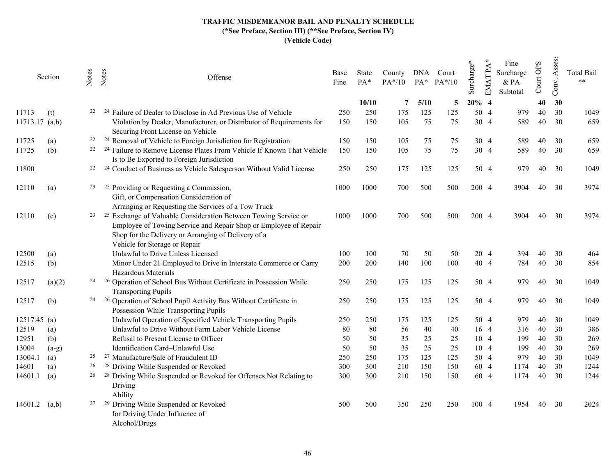|                         | Section           | Notes | Notes<br>Offense                                                                                                                                                                                                                       | Base<br>Fine | State<br>PA* | County<br>$PA*/10$ |           | DNA Court<br>PA* PA*/10 | Surcharge* | EMAT PA                          | Fine<br>Surcharge<br>& PA<br>Subtotal | Court OPS | Assess<br>Conv. | <b>Total Bail</b><br>$**$ |
|-------------------------|-------------------|-------|----------------------------------------------------------------------------------------------------------------------------------------------------------------------------------------------------------------------------------------|--------------|--------------|--------------------|-----------|-------------------------|------------|----------------------------------|---------------------------------------|-----------|-----------------|---------------------------|
|                         |                   |       |                                                                                                                                                                                                                                        |              | 10/10        | 7                  | 5/10      | 5                       | $20%$ 4    |                                  |                                       | 40        | 30              |                           |
| 11713<br>11713.17 (a,b) | (t)               | 22    | <sup>24</sup> Failure of Dealer to Disclose in Ad Previous Use of Vehicle<br>Violation by Dealer, Manufacturer, or Distributor of Requirements for                                                                                     | 250<br>150   | 250<br>150   | 175<br>105         | 125<br>75 | 125<br>75               | 50<br>30   | $\overline{4}$<br>$\overline{4}$ | 979<br>589                            | 40<br>40  | 30<br>30        | 1049<br>659               |
|                         |                   |       | Securing Front License on Vehicle                                                                                                                                                                                                      |              |              |                    |           |                         |            |                                  |                                       |           |                 |                           |
| 11725                   | (a)               | 22    | <sup>24</sup> Removal of Vehicle to Foreign Jurisdiction for Registration                                                                                                                                                              | 150          | 150          | 105                | 75        | 75                      |            | 30 4                             | 589                                   | 40        | 30              | 659                       |
| 11725                   | (b)               | 22    | <sup>24</sup> Failure to Remove License Plates From Vehicle If Known That Vehicle<br>Is to Be Exported to Foreign Jurisdiction                                                                                                         | 150          | 150          | 105                | 75        | 75                      |            | 30 4                             | 589                                   | 40        | 30              | 659                       |
| 11800                   |                   | 22    | <sup>24</sup> Conduct of Business as Vehicle Salesperson Without Valid License                                                                                                                                                         | 250          | 250          | 175                | 125       | 125                     |            | 50 4                             | 979                                   | 40        | 30              | 1049                      |
| 12110                   | $\left( a\right)$ | 23    | Providing or Requesting a Commission,<br>25<br>Gift, or Compensation Consideration of<br>Arranging or Requesting the Services of a Tow Truck                                                                                           | 1000         | 1000         | 700                | 500       | 500                     | 200 4      |                                  | 3904                                  | 40        | 30              | 3974                      |
| 12110                   | (c)               | 23    | <sup>25</sup> Exchange of Valuable Consideration Between Towing Service or<br>Employee of Towing Service and Repair Shop or Employee of Repair<br>Shop for the Delivery or Arranging of Delivery of a<br>Vehicle for Storage or Repair | 1000         | 1000         | 700                | 500       | 500                     | 200 4      |                                  | 3904                                  | 40        | 30              | 3974                      |
| 12500                   | (a)               |       | Unlawful to Drive Unless Licensed                                                                                                                                                                                                      | 100          | 100          | 70                 | 50        | 50                      |            | 20 4                             | 394                                   | 40        | 30              | 464                       |
| 12515                   | (b)               |       | Minor Under 21 Employed to Drive in Interstate Commerce or Carry<br>Hazardous Materials                                                                                                                                                | 200          | 200          | 140                | 100       | 100                     |            | 40 4                             | 784                                   | 40        | 30              | 854                       |
| 12517                   | (a)(2)            | 24    | <sup>26</sup> Operation of School Bus Without Certificate in Possession While<br><b>Transporting Pupils</b>                                                                                                                            | 250          | 250          | 175                | 125       | 125                     |            | 50 4                             | 979                                   | 40        | 30              | 1049                      |
| 12517                   | (b)               | 24    | <sup>26</sup> Operation of School Pupil Activity Bus Without Certificate in<br>Possession While Transporting Pupils                                                                                                                    | 250          | 250          | 175                | 125       | 125                     |            | 50 4                             | 979                                   | 40        | 30              | 1049                      |
| 12517.45 (a)            |                   |       | Unlawful Operation of Specified Vehicle Transporting Pupils                                                                                                                                                                            | 250          | 250          | 175                | 125       | 125                     |            | 50 4                             | 979                                   | 40        | 30              | 1049                      |
| 12519                   | (a)               |       | Unlawful to Drive Without Farm Labor Vehicle License                                                                                                                                                                                   | 80           | 80           | 56                 | 40        | 40                      |            | 16 4                             | 316                                   | 40        | 30              | 386                       |
| 12951                   | (b)               |       | Refusal to Present License to Officer                                                                                                                                                                                                  | 50           | 50           | 35                 | 25        | 25                      |            | 10 4                             | 199                                   | 40        | 30              | 269                       |
| 13004                   | $(a-g)$           |       | Identification Card-Unlawful Use                                                                                                                                                                                                       | 50           | 50           | 35                 | 25        | 25                      |            | 10 4                             | 199                                   | 40        | 30              | 269                       |
| 13004.1                 | (a)               | 25    | <sup>27</sup> Manufacture/Sale of Fraudulent ID                                                                                                                                                                                        | 250          | 250          | 175                | 125       | 125                     |            | 50 4                             | 979                                   | 40        | 30              | 1049                      |
| 14601                   | (a)               | 26    | <sup>28</sup> Driving While Suspended or Revoked                                                                                                                                                                                       | 300          | 300          | 210                | 150       | 150                     |            | 60 4                             | 1174                                  | 40        | 30              | 1244                      |
| 14601.1                 | (a)               | 26    | <sup>28</sup> Driving While Suspended or Revoked for Offenses Not Relating to<br>Driving<br>Ability                                                                                                                                    | 300          | 300          | 210                | 150       | 150                     |            | 60 4                             | 1174                                  | 40        | 30              | 1244                      |
| 14601.2                 | (a,b)             | 27    | <sup>29</sup> Driving While Suspended or Revoked<br>for Driving Under Influence of<br>Alcohol/Drugs                                                                                                                                    | 500          | 500          | 350                | 250       | 250                     | 100 4      |                                  | 1954                                  | 40        | 30              | 2024                      |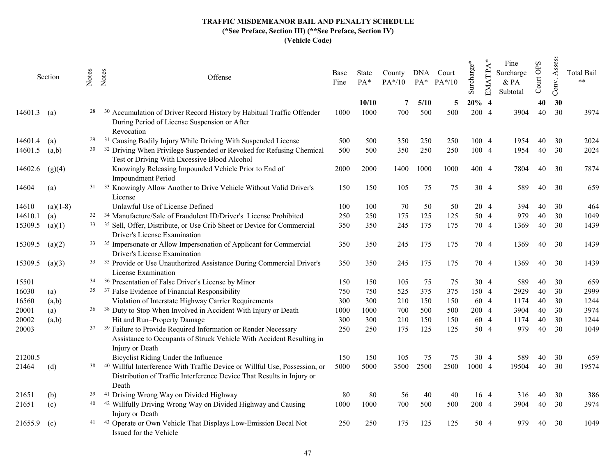|         | Section    | Notes | Notes<br>Offense                                                                                                                                                                   | Base<br>Fine | State<br>$PA*$ | County<br>$PA*/10$ |      | DNA Court<br>PA* PA*/10 | Surcharge* | $PA^2$<br><b>EMAT</b> | Fine<br>Surcharge<br>$&$ PA<br>Subtotal | OPS<br>Court | Assess<br>Conv. | <b>Total Bail</b><br>$**$ |
|---------|------------|-------|------------------------------------------------------------------------------------------------------------------------------------------------------------------------------------|--------------|----------------|--------------------|------|-------------------------|------------|-----------------------|-----------------------------------------|--------------|-----------------|---------------------------|
|         |            |       |                                                                                                                                                                                    |              | 10/10          | 7                  | 5/10 | 5                       | 20%        | -4                    |                                         | 40           | 30              |                           |
| 14601.3 | (a)        | 28    | Accumulation of Driver Record History by Habitual Traffic Offender<br>During Period of License Suspension or After<br>Revocation                                                   | 1000         | 1000           | 700                | 500  | 500                     | 200        | $\overline{4}$        | 3904                                    | 40           | 30              | 3974                      |
| 14601.4 | (a)        | 29    | Causing Bodily Injury While Driving With Suspended License<br>- 31                                                                                                                 | 500          | 500            | 350                | 250  | 250                     |            | 100 4                 | 1954                                    | 40           | 30              | 2024                      |
| 14601.5 | (a,b)      | 30    | <sup>32</sup> Driving When Privilege Suspended or Revoked for Refusing Chemical<br>Test or Driving With Excessive Blood Alcohol                                                    | 500          | 500            | 350                | 250  | 250                     |            | 100 4                 | 1954                                    | 40           | 30              | 2024                      |
| 14602.6 | (g)(4)     |       | Knowingly Releasing Impounded Vehicle Prior to End of<br><b>Impoundment Period</b>                                                                                                 | 2000         | 2000           | 1400               | 1000 | 1000                    | 400 4      |                       | 7804                                    | 40           | 30              | 7874                      |
| 14604   | (a)        |       | <sup>31</sup> <sup>33</sup> Knowingly Allow Another to Drive Vehicle Without Valid Driver's<br>License                                                                             | 150          | 150            | 105                | 75   | 75                      |            | 30 4                  | 589                                     | 40           | 30              | 659                       |
| 14610   | $(a)(1-8)$ |       | Unlawful Use of License Defined                                                                                                                                                    | 100          | 100            | 70                 | 50   | 50                      |            | 20 4                  | 394                                     | 40           | 30              | 464                       |
| 14610.1 | (a)        | 32    | <sup>34</sup> Manufacture/Sale of Fraudulent ID/Driver's License Prohibited                                                                                                        | 250          | 250            | 175                | 125  | 125                     |            | 50 4                  | 979                                     | 40           | 30              | 1049                      |
| 15309.5 | (a)(1)     |       | <sup>33</sup> <sup>35</sup> Sell, Offer, Distribute, or Use Crib Sheet or Device for Commercial<br>Driver's License Examination                                                    | 350          | 350            | 245                | 175  | 175                     |            | 70 4                  | 1369                                    | 40           | 30              | 1439                      |
| 15309.5 | (a)(2)     |       | <sup>33</sup> <sup>35</sup> Impersonate or Allow Impersonation of Applicant for Commercial<br>Driver's License Examination                                                         | 350          | 350            | 245                | 175  | 175                     |            | 70 4                  | 1369                                    | 40           | 30              | 1439                      |
| 15309.5 | (a)(3)     |       | <sup>33</sup> <sup>35</sup> Provide or Use Unauthorized Assistance During Commercial Driver's<br>License Examination                                                               | 350          | 350            | 245                | 175  | 175                     |            | 70 4                  | 1369                                    | 40           | 30              | 1439                      |
| 15501   |            |       | <sup>34</sup> <sup>36</sup> Presentation of False Driver's License by Minor                                                                                                        | 150          | 150            | 105                | 75   | 75                      |            | 30 4                  | 589                                     | 40           | 30              | 659                       |
| 16030   | (a)        |       | <sup>35</sup> <sup>37</sup> False Evidence of Financial Responsibility                                                                                                             | 750          | 750            | 525                | 375  | 375                     |            | 150 4                 | 2929                                    | 40           | 30              | 2999                      |
| 16560   | (a,b)      |       | Violation of Interstate Highway Carrier Requirements                                                                                                                               | 300          | 300            | 210                | 150  | 150                     |            | 60 4                  | 1174                                    | 40           | 30              | 1244                      |
| 20001   | (a)        |       | <sup>36</sup> <sup>38</sup> Duty to Stop When Involved in Accident With Injury or Death                                                                                            | 1000         | 1000           | 700                | 500  | 500                     |            | 200 4                 | 3904                                    | 40           | 30              | 3974                      |
| 20002   | (a,b)      |       | Hit and Run-Property Damage                                                                                                                                                        | 300          | 300            | 210                | 150  | 150                     |            | 60 4                  | 1174                                    | 40           | 30              | 1244                      |
| 20003   |            |       | <sup>37</sup> <sup>39</sup> Failure to Provide Required Information or Render Necessary<br>Assistance to Occupants of Struck Vehicle With Accident Resulting in<br>Injury or Death | 250          | 250            | 175                | 125  | 125                     |            | 50 4                  | 979                                     | 40           | 30              | 1049                      |
| 21200.5 |            |       | Bicyclist Riding Under the Influence                                                                                                                                               | 150          | 150            | 105                | 75   | 75                      |            | 30 4                  | 589                                     | 40           | 30              | 659                       |
| 21464   | (d)        | 38    | <sup>40</sup> Willful Interference With Traffic Device or Willful Use, Possession, or<br>Distribution of Traffic Interference Device That Results in Injury or<br>Death            | 5000         | 5000           | 3500               | 2500 | 2500                    | 1000 4     |                       | 19504                                   | 40           | 30              | 19574                     |
| 21651   | (b)        | 39    | <sup>41</sup> Driving Wrong Way on Divided Highway                                                                                                                                 | 80           | 80             | 56                 | 40   | 40                      |            | 16 4                  | 316                                     | 40           | 30              | 386                       |
| 21651   | (c)        | 40    | <sup>42</sup> Willfully Driving Wrong Way on Divided Highway and Causing<br>Injury or Death                                                                                        | 1000         | 1000           | 700                | 500  | 500                     |            | 200 4                 | 3904                                    | 40           | 30              | 3974                      |
| 21655.9 | (c)        | 41    | <sup>43</sup> Operate or Own Vehicle That Displays Low-Emission Decal Not<br>Issued for the Vehicle                                                                                | 250          | 250            | 175                | 125  | 125                     |            | 50 4                  | 979                                     | 40           | 30              | 1049                      |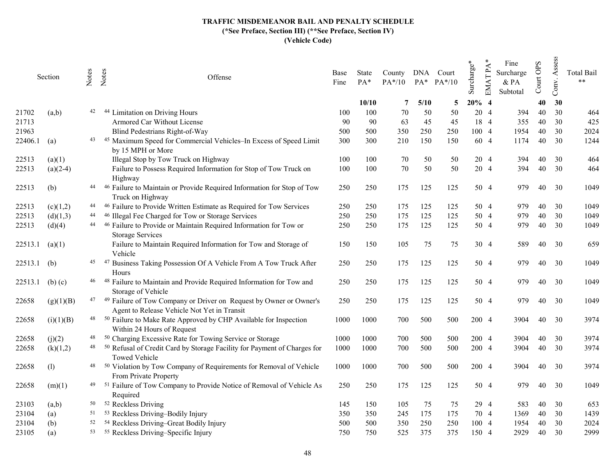| Section     | Notes | Offense                                                                                              | Base<br>Fine                                                                                                                                                                                                                                                                                                                                                                                                                                                                                                                                                                                                                                                                                                                                                                                                                                                                                                                                                                             | State<br>PA* | County<br>$PA*/10$ |      |     | Surcharge*                           | $\mathbf{P}\mathbf{A}$<br><b>EMAT</b> | Fine<br>& PA<br>Subtotal                                                                                                                                                                         | Court OPS | Conv. | <b>Total Bail</b><br>$**$ |
|-------------|-------|------------------------------------------------------------------------------------------------------|------------------------------------------------------------------------------------------------------------------------------------------------------------------------------------------------------------------------------------------------------------------------------------------------------------------------------------------------------------------------------------------------------------------------------------------------------------------------------------------------------------------------------------------------------------------------------------------------------------------------------------------------------------------------------------------------------------------------------------------------------------------------------------------------------------------------------------------------------------------------------------------------------------------------------------------------------------------------------------------|--------------|--------------------|------|-----|--------------------------------------|---------------------------------------|--------------------------------------------------------------------------------------------------------------------------------------------------------------------------------------------------|-----------|-------|---------------------------|
|             |       |                                                                                                      |                                                                                                                                                                                                                                                                                                                                                                                                                                                                                                                                                                                                                                                                                                                                                                                                                                                                                                                                                                                          | 10/10        | 7                  | 5/10 | 5   |                                      | $\overline{4}$                        |                                                                                                                                                                                                  | 40        | 30    |                           |
| (a,b)       | 42    | Limitation on Driving Hours<br>-44                                                                   | 100                                                                                                                                                                                                                                                                                                                                                                                                                                                                                                                                                                                                                                                                                                                                                                                                                                                                                                                                                                                      | 100          | 70                 | 50   | 50  |                                      |                                       | 394                                                                                                                                                                                              | 40        | 30    | 464                       |
|             |       |                                                                                                      | 90                                                                                                                                                                                                                                                                                                                                                                                                                                                                                                                                                                                                                                                                                                                                                                                                                                                                                                                                                                                       |              |                    | 45   | 45  |                                      | $\overline{4}$                        | 355                                                                                                                                                                                              | 40        | 30    | 425                       |
|             |       | Blind Pedestrians Right-of-Way                                                                       | 500                                                                                                                                                                                                                                                                                                                                                                                                                                                                                                                                                                                                                                                                                                                                                                                                                                                                                                                                                                                      |              | 350                |      | 250 |                                      |                                       | 1954                                                                                                                                                                                             | 40        |       | 2024                      |
| (a)         |       | Maximum Speed for Commercial Vehicles-In Excess of Speed Limit<br>by 15 MPH or More                  | 300                                                                                                                                                                                                                                                                                                                                                                                                                                                                                                                                                                                                                                                                                                                                                                                                                                                                                                                                                                                      | 300          | 210                | 150  | 150 |                                      |                                       | 1174                                                                                                                                                                                             | 40        | 30    | 1244                      |
| (a)(1)      |       | Illegal Stop by Tow Truck on Highway                                                                 | 100                                                                                                                                                                                                                                                                                                                                                                                                                                                                                                                                                                                                                                                                                                                                                                                                                                                                                                                                                                                      | 100          | 70                 | 50   | 50  |                                      |                                       | 394                                                                                                                                                                                              | 40        | 30    | 464                       |
| $(a)(2-4)$  |       | Failure to Possess Required Information for Stop of Tow Truck on<br>Highway                          | 100                                                                                                                                                                                                                                                                                                                                                                                                                                                                                                                                                                                                                                                                                                                                                                                                                                                                                                                                                                                      | 100          | 70                 | 50   | 50  |                                      |                                       | 394                                                                                                                                                                                              | 40        | 30    | 464                       |
| (b)         |       | Truck on Highway                                                                                     | 250                                                                                                                                                                                                                                                                                                                                                                                                                                                                                                                                                                                                                                                                                                                                                                                                                                                                                                                                                                                      | 250          | 175                | 125  | 125 |                                      |                                       | 979.                                                                                                                                                                                             | 40        | 30    | 1049                      |
| (c)(1,2)    |       | <sup>46</sup> Failure to Provide Written Estimate as Required for Tow Services                       | 250                                                                                                                                                                                                                                                                                                                                                                                                                                                                                                                                                                                                                                                                                                                                                                                                                                                                                                                                                                                      | 250          | 175                | 125  | 125 |                                      |                                       | 979                                                                                                                                                                                              | 40        | 30    | 1049                      |
| (d)(1,3)    | 44    | <sup>46</sup> Illegal Fee Charged for Tow or Storage Services                                        | 250                                                                                                                                                                                                                                                                                                                                                                                                                                                                                                                                                                                                                                                                                                                                                                                                                                                                                                                                                                                      | 250          | 175                | 125  | 125 |                                      |                                       | 979                                                                                                                                                                                              | 40        | 30    | 1049                      |
| (d)(4)      |       | <b>Storage Services</b>                                                                              | 250                                                                                                                                                                                                                                                                                                                                                                                                                                                                                                                                                                                                                                                                                                                                                                                                                                                                                                                                                                                      | 250          | 175                | 125  | 125 |                                      |                                       | 979                                                                                                                                                                                              | 40        | 30    | 1049                      |
| (a)(1)      |       | Failure to Maintain Required Information for Tow and Storage of<br>Vehicle                           | 150                                                                                                                                                                                                                                                                                                                                                                                                                                                                                                                                                                                                                                                                                                                                                                                                                                                                                                                                                                                      | 150          | 105                | 75   | 75  |                                      |                                       | 589                                                                                                                                                                                              | 40        | 30    | 659                       |
| (b)         |       | Business Taking Possession Of A Vehicle From A Tow Truck After<br>Hours                              | 250                                                                                                                                                                                                                                                                                                                                                                                                                                                                                                                                                                                                                                                                                                                                                                                                                                                                                                                                                                                      | 250          | 175                | 125  | 125 |                                      |                                       | 979                                                                                                                                                                                              | 40        | 30    | 1049                      |
| $(b)$ $(c)$ |       | <sup>48</sup> Failure to Maintain and Provide Required Information for Tow and<br>Storage of Vehicle | 250                                                                                                                                                                                                                                                                                                                                                                                                                                                                                                                                                                                                                                                                                                                                                                                                                                                                                                                                                                                      | 250          | 175                | 125  | 125 |                                      |                                       | 979                                                                                                                                                                                              | 40        | 30    | 1049                      |
| (g)(1)(B)   |       | <sup>49</sup> Failure of Tow Company or Driver on Request by Owner or Owner's                        | 250                                                                                                                                                                                                                                                                                                                                                                                                                                                                                                                                                                                                                                                                                                                                                                                                                                                                                                                                                                                      | 250          | 175                | 125  | 125 |                                      |                                       | 979                                                                                                                                                                                              | 40        | 30    | 1049                      |
| (i)(1)(B)   |       |                                                                                                      | 1000                                                                                                                                                                                                                                                                                                                                                                                                                                                                                                                                                                                                                                                                                                                                                                                                                                                                                                                                                                                     | 1000         | 700                | 500  | 500 |                                      |                                       | 3904                                                                                                                                                                                             | 40        | 30    | 3974                      |
| (j)(2)      | 48    | <sup>50</sup> Charging Excessive Rate for Towing Service or Storage                                  | 1000                                                                                                                                                                                                                                                                                                                                                                                                                                                                                                                                                                                                                                                                                                                                                                                                                                                                                                                                                                                     | 1000         | 700                | 500  | 500 |                                      |                                       | 3904                                                                                                                                                                                             | 40        | 30    | 3974                      |
| (k)(1,2)    |       | <b>Towed Vehicle</b>                                                                                 | 1000                                                                                                                                                                                                                                                                                                                                                                                                                                                                                                                                                                                                                                                                                                                                                                                                                                                                                                                                                                                     | 1000         | 700                | 500  | 500 |                                      |                                       | 3904                                                                                                                                                                                             | 40        | 30    | 3974                      |
| (1)         |       |                                                                                                      | 1000                                                                                                                                                                                                                                                                                                                                                                                                                                                                                                                                                                                                                                                                                                                                                                                                                                                                                                                                                                                     | 1000         | 700                | 500  | 500 |                                      |                                       | 3904                                                                                                                                                                                             | 40        | 30    | 3974                      |
| (m)(1)      |       |                                                                                                      | 250                                                                                                                                                                                                                                                                                                                                                                                                                                                                                                                                                                                                                                                                                                                                                                                                                                                                                                                                                                                      | 250          | 175                | 125  | 125 |                                      |                                       | 979                                                                                                                                                                                              | 40        | 30    | 1049                      |
| (a,b)       |       |                                                                                                      | 145                                                                                                                                                                                                                                                                                                                                                                                                                                                                                                                                                                                                                                                                                                                                                                                                                                                                                                                                                                                      | 150          | 105                | 75   | 75  |                                      |                                       | 583                                                                                                                                                                                              | 40        | 30    | 653                       |
| (a)         |       |                                                                                                      | 350                                                                                                                                                                                                                                                                                                                                                                                                                                                                                                                                                                                                                                                                                                                                                                                                                                                                                                                                                                                      | 350          | 245                | 175  | 175 |                                      |                                       | 1369                                                                                                                                                                                             | 40        | 30    | 1439                      |
| (b)         |       |                                                                                                      | 500                                                                                                                                                                                                                                                                                                                                                                                                                                                                                                                                                                                                                                                                                                                                                                                                                                                                                                                                                                                      | 500          | 350                | 250  | 250 |                                      |                                       | 1954                                                                                                                                                                                             | 40        | 30    | 2024                      |
| (a)         |       |                                                                                                      | 750                                                                                                                                                                                                                                                                                                                                                                                                                                                                                                                                                                                                                                                                                                                                                                                                                                                                                                                                                                                      | 750          | 525                | 375  | 375 |                                      |                                       | 2929                                                                                                                                                                                             | 40        | 30    | 2999                      |
|             |       | 44<br>45<br>47<br>48<br>50<br>52                                                                     | Notes<br>Armored Car Without License<br>43 45<br><sup>44</sup> <sup>46</sup> Failure to Maintain or Provide Required Information for Stop of Tow<br><sup>44</sup> <sup>46</sup> Failure to Provide or Maintain Required Information for Tow or<br>- 47<br>46<br>Agent to Release Vehicle Not Yet in Transit<br><sup>48</sup> <sup>50</sup> Failure to Make Rate Approved by CHP Available for Inspection<br>Within 24 Hours of Request<br><sup>48</sup> <sup>50</sup> Refusal of Credit Card by Storage Facility for Payment of Charges for<br><sup>50</sup> Violation by Tow Company of Requirements for Removal of Vehicle<br>From Private Property<br><sup>49</sup> <sup>51</sup> Failure of Tow Company to Provide Notice of Removal of Vehicle As<br>Required<br><sup>52</sup> Reckless Driving<br><sup>51</sup> <sup>53</sup> Reckless Driving-Bodily Injury<br><sup>54</sup> Reckless Driving-Great Bodily Injury<br><sup>53</sup> <sup>55</sup> Reckless Driving-Specific Injury |              | 90<br>500          | 63   |     | DNA Court<br>$PA^*$ $PA^*/10$<br>250 |                                       | 20%<br>20 4<br>18<br>100 4<br>60 4<br>20 4<br>20 4<br>50 4<br>50 4<br>50 4<br>50 4<br>30 4<br>50 4<br>50 4<br>50 4<br>200 4<br>200 4<br>200 4<br>200 4<br>50 4<br>29 4<br>70 4<br>100 4<br>150 4 | Surcharge |       | Assess<br>30              |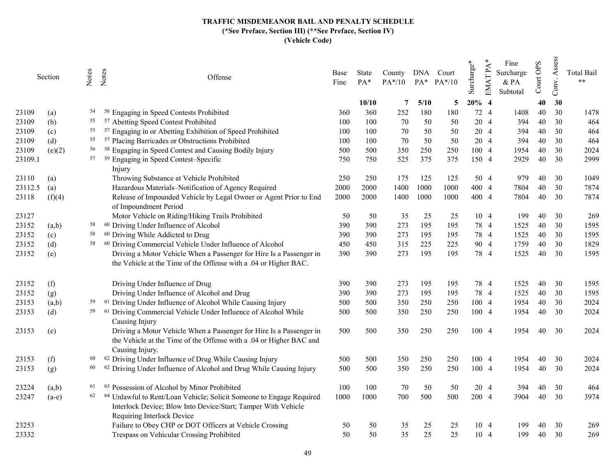|         | Section | Notes | Notes<br>Offense                                                                                                                                                        | Base<br>Fine | <b>State</b><br>$PA*$ | County<br>$PA*/10$ | DNA  | Court<br>$PA^*$ $PA^*/10$ | Surcharge* | $\mathbf{P}\mathbf{A}$<br><b>EMAT</b> | Fine<br>Surcharge<br>$&$ PA<br>Subtotal | Court OPS | Assess<br>Conv. | <b>Total Bail</b><br>$\star$ $\star$ |
|---------|---------|-------|-------------------------------------------------------------------------------------------------------------------------------------------------------------------------|--------------|-----------------------|--------------------|------|---------------------------|------------|---------------------------------------|-----------------------------------------|-----------|-----------------|--------------------------------------|
|         |         |       |                                                                                                                                                                         |              | 10/10                 | 7                  | 5/10 | 5                         | 20%        | $\overline{4}$                        |                                         | 40        | 30              |                                      |
| 23109   | (a)     | 54    | <sup>56</sup> Engaging in Speed Contests Prohibited                                                                                                                     | 360          | 360                   | 252                | 180  | 180                       | 72         | $\overline{4}$                        | 1408                                    | 40        | 30              | 1478                                 |
| 23109   | (b)     | 55    | <sup>57</sup> Abetting Speed Contest Prohibited                                                                                                                         | 100          | 100                   | 70                 | 50   | 50                        | 20         | $\overline{4}$                        | 394                                     | 40        | 30              | 464                                  |
| 23109   | (c)     | 55    | Engaging in or Abetting Exhibition of Speed Prohibited<br>57                                                                                                            | 100          | 100                   | 70                 | 50   | 50                        |            | 20 4                                  | 394                                     | 40        | 30              | 464                                  |
| 23109   | (d)     | 55    | <sup>57</sup> Placing Barricades or Obstructions Prohibited                                                                                                             | 100          | 100                   | 70                 | 50   | 50                        |            | 20 4                                  | 394                                     | 40        | 30              | 464                                  |
| 23109   | (e)(2)  | 56    | <sup>58</sup> Engaging in Speed Contest and Causing Bodily Injury                                                                                                       | 500          | 500                   | 350                | 250  | 250                       |            | 100 4                                 | 1954                                    | 40        | 30              | 2024                                 |
| 23109.1 |         | 57    | <sup>59</sup> Engaging in Speed Contest-Specific<br>Injury                                                                                                              | 750          | 750                   | 525                | 375  | 375                       | 150 4      |                                       | 2929                                    | 40        | 30              | 2999                                 |
| 23110   | (a)     |       | Throwing Substance at Vehicle Prohibited                                                                                                                                | 250          | 250                   | 175                | 125  | 125                       |            | 50 4                                  | 979                                     | 40        | 30              | 1049                                 |
| 23112.5 | (a)     |       | Hazardous Materials-Notification of Agency Required                                                                                                                     | 2000         | 2000                  | 1400               | 1000 | 1000                      |            | 400 4                                 | 7804                                    | 40        | 30              | 7874                                 |
| 23118   | (f)(4)  |       | Release of Impounded Vehicle by Legal Owner or Agent Prior to End<br>of Impoundment Period                                                                              | 2000         | 2000                  | 1400               | 1000 | 1000                      |            | 400 4                                 | 7804                                    | 40        | 30              | 7874                                 |
| 23127   |         |       | Motor Vehicle on Riding/Hiking Trails Prohibited                                                                                                                        | 50           | 50                    | 35                 | 25   | 25                        |            | 10 4                                  | 199                                     | 40        | 30              | 269                                  |
| 23152   | (a,b)   | 58    | <sup>60</sup> Driving Under Influence of Alcohol                                                                                                                        | 390          | 390                   | 273                | 195  | 195                       |            | 78 4                                  | 1525                                    | 40        | 30              | 1595                                 |
| 23152   | (c)     | 58    | <sup>60</sup> Driving While Addicted to Drug                                                                                                                            | 390          | 390                   | 273                | 195  | 195                       |            | 78 4                                  | 1525                                    | 40        | 30              | 1595                                 |
| 23152   | (d)     | 58    | <sup>60</sup> Driving Commercial Vehicle Under Influence of Alcohol                                                                                                     | 450          | 450                   | 315                | 225  | 225                       |            | 90 4                                  | 1759                                    | 40        | 30              | 1829                                 |
| 23152   | (e)     |       | Driving a Motor Vehicle When a Passenger for Hire Is a Passenger in<br>the Vehicle at the Time of the Offense with a .04 or Higher BAC.                                 | 390          | 390                   | 273                | 195  | 195                       |            | 78 4                                  | 1525                                    | 40        | 30              | 1595                                 |
| 23152   | (f)     |       | Driving Under Influence of Drug                                                                                                                                         | 390          | 390                   | 273                | 195  | 195                       |            | 78 4                                  | 1525                                    | 40        | 30              | 1595                                 |
| 23152   | (g)     |       | Driving Under Influence of Alcohol and Drug                                                                                                                             | 390          | 390                   | 273                | 195  | 195                       |            | 78 4                                  | 1525                                    | 40        | 30              | 1595                                 |
| 23153   | (a,b)   | 59    | <sup>61</sup> Driving Under Influence of Alcohol While Causing Injury                                                                                                   | 500          | 500                   | 350                | 250  | 250                       |            | 100 4                                 | 1954                                    | 40        | 30              | 2024                                 |
| 23153   | (d)     | 59    | <sup>61</sup> Driving Commercial Vehicle Under Influence of Alcohol While<br>Causing Injury                                                                             | 500          | 500                   | 350                | 250  | 250                       |            | 100 4                                 | 1954                                    | 40        | 30              | 2024                                 |
| 23153   | (e)     |       | Driving a Motor Vehicle When a Passenger for Hire Is a Passenger in<br>the Vehicle at the Time of the Offense with a .04 or Higher BAC and<br>Causing Injury.           | 500          | 500                   | 350                | 250  | 250                       | 100 4      |                                       | 1954                                    | 40        | 30              | 2024                                 |
| 23153   | (f)     | 60    | <sup>62</sup> Driving Under Influence of Drug While Causing Injury                                                                                                      | 500          | 500                   | 350                | 250  | 250                       |            | 100 4                                 | 1954                                    | 40        | 30              | 2024                                 |
| 23153   | (g)     | 60    | <sup>62</sup> Driving Under Influence of Alcohol and Drug While Causing Injury                                                                                          | 500          | 500                   | 350                | 250  | 250                       |            | 100 4                                 | 1954                                    | 40        | 30              | 2024                                 |
| 23224   | (a,b)   | 61    | <sup>63</sup> Possession of Alcohol by Minor Prohibited                                                                                                                 | 100          | 100                   | 70                 | 50   | 50                        |            | 20 4                                  | 394                                     | 40        | 30              | 464                                  |
| 23247   | $(a-e)$ | 62    | Unlawful to Rent/Loan Vehicle; Solicit Someone to Engage Required<br>-64<br>Interlock Device; Blow Into Device/Start; Tamper With Vehicle<br>Requiring Interlock Device | 1000         | 1000                  | 700                | 500  | 500                       |            | 200 4                                 | 3904                                    | 40        | 30              | 3974                                 |
| 23253   |         |       | Failure to Obey CHP or DOT Officers at Vehicle Crossing                                                                                                                 | 50           | 50                    | 35                 | 25   | 25                        |            | 10 4                                  | 199                                     | 40        | 30              | 269                                  |
| 23332   |         |       | Trespass on Vehicular Crossing Prohibited                                                                                                                               | 50           | 50                    | 35                 | 25   | 25                        |            | 10 4                                  | 199                                     | 40        | 30              | 269                                  |
|         |         |       |                                                                                                                                                                         |              |                       |                    |      |                           |            |                                       |                                         |           |                 |                                      |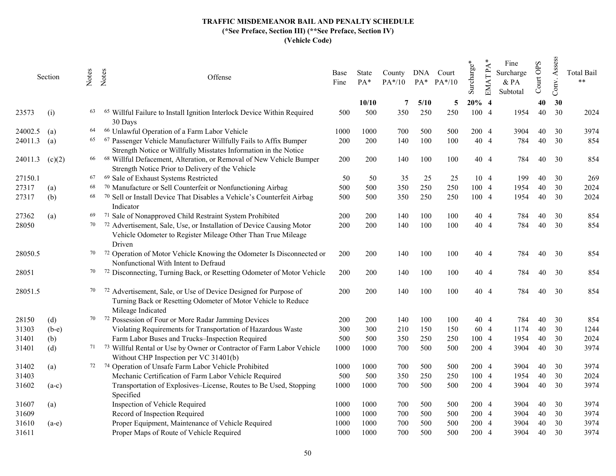|         | Section           | Notes | Notes<br>Offense                                                                                                                                       | Base<br>Fine | State<br>$PA*$ | County<br>PA*/10 | DNA  | Court<br>$PA^*$ $PA^*/10$ | Surcharge* | $\mathbf{P}\mathbf{A}$<br>EMAT | Fine<br>Surcharge<br>& PA<br>Subtotal | OPS<br>Court | Assess<br>Conv. | <b>Total Bail</b><br>$**$ |
|---------|-------------------|-------|--------------------------------------------------------------------------------------------------------------------------------------------------------|--------------|----------------|------------------|------|---------------------------|------------|--------------------------------|---------------------------------------|--------------|-----------------|---------------------------|
|         |                   |       |                                                                                                                                                        |              | 10/10          | 7                | 5/10 | 5                         | 20%        | -4                             |                                       | 40           | 30              |                           |
| 23573   | (i)               | 63    | 65<br>Willful Failure to Install Ignition Interlock Device Within Required<br>30 Days                                                                  | 500          | 500            | 350              | 250  | 250                       | 100        | $\overline{4}$                 | 1954                                  | 40           | 30              | 2024                      |
| 24002.5 | (a)               | 64    | <sup>66</sup> Unlawful Operation of a Farm Labor Vehicle                                                                                               | 1000         | 1000           | 700              | 500  | 500                       |            | 200 4                          | 3904                                  | 40           | 30              | 3974                      |
| 24011.3 | $\left( a\right)$ | 65    | 67 Passenger Vehicle Manufacturer Willfully Fails to Affix Bumper<br>Strength Notice or Willfully Misstates Information in the Notice                  | 200          | 200            | 140              | 100  | 100                       |            | 40 4                           | 784                                   | 40           | 30              | 854                       |
| 24011.3 | (c)(2)            |       | <sup>66</sup> <sup>68</sup> Willful Defacement, Alteration, or Removal of New Vehicle Bumper<br>Strength Notice Prior to Delivery of the Vehicle       | 200          | 200            | 140              | 100  | 100                       |            | 40 4                           | 784                                   | 40           | 30              | 854                       |
| 27150.1 |                   | 67    | <sup>69</sup> Sale of Exhaust Systems Restricted                                                                                                       | 50           | 50             | 35               | 25   | 25                        |            | 10 4                           | 199                                   | 40           | 30              | 269                       |
| 27317   | (a)               | 68    | 70 Manufacture or Sell Counterfeit or Nonfunctioning Airbag                                                                                            | 500          | 500            | 350              | 250  | 250                       |            | 100 4                          | 1954                                  | 40           | 30              | 2024                      |
| 27317   | (b)               | 68    | 70 Sell or Install Device That Disables a Vehicle's Counterfeit Airbag<br>Indicator                                                                    | 500          | 500            | 350              | 250  | 250                       | 100 4      |                                | 1954                                  | 40           | 30              | 2024                      |
| 27362   | (a)               | 69    | 71 Sale of Nonapproved Child Restraint System Prohibited                                                                                               | 200          | 200            | 140              | 100  | 100                       |            | 40 4                           | 784                                   | 40           | 30              | 854                       |
| 28050   |                   | 70    | 72 Advertisement, Sale, Use, or Installation of Device Causing Motor<br>Vehicle Odometer to Register Mileage Other Than True Mileage<br>Driven         | 200          | 200            | 140              | 100  | 100                       |            | 40 4                           | 784                                   | 40           | 30              | 854                       |
| 28050.5 |                   | 70    | 72 Operation of Motor Vehicle Knowing the Odometer Is Disconnected or<br>Nonfunctional With Intent to Defraud                                          | 200          | 200            | 140              | 100  | 100                       |            | 40 4                           | 784                                   | 40           | 30              | 854                       |
| 28051   |                   | 70    | 72 Disconnecting, Turning Back, or Resetting Odometer of Motor Vehicle                                                                                 | 200          | 200            | 140              | 100  | 100                       |            | 40 4                           | 784                                   | 40           | 30              | 854                       |
| 28051.5 |                   | 70    | 72 Advertisement, Sale, or Use of Device Designed for Purpose of<br>Turning Back or Resetting Odometer of Motor Vehicle to Reduce<br>Mileage Indicated | 200          | 200            | 140              | 100  | 100                       |            | 40 4                           | 784                                   | 40           | 30              | 854                       |
| 28150   | (d)               |       | <sup>70</sup> <sup>72</sup> Possession of Four or More Radar Jamming Devices                                                                           | 200          | 200            | 140              | 100  | 100                       |            | 40 4                           | 784                                   | 40           | 30              | 854                       |
| 31303   | $(b-e)$           |       | Violating Requirements for Transportation of Hazardous Waste                                                                                           | 300          | 300            | 210              | 150  | 150                       |            | 60 4                           | 1174                                  | 40           | 30              | 1244                      |
| 31401   | (b)               |       | Farm Labor Buses and Trucks-Inspection Required                                                                                                        | 500          | 500            | 350              | 250  | 250                       |            | 100 4                          | 1954                                  | 40           | 30              | 2024                      |
| 31401   | (d)               |       | 71 73 Willful Rental or Use by Owner or Contractor of Farm Labor Vehicle<br>Without CHP Inspection per VC 31401(b)                                     | 1000         | 1000           | 700              | 500  | 500                       |            | 200 4                          | 3904                                  | 40           | 30              | 3974                      |
| 31402   | (a)               | 72    | 74 Operation of Unsafe Farm Labor Vehicle Prohibited                                                                                                   | 1000         | 1000           | 700              | 500  | 500                       |            | 200 4                          | 3904                                  | 40           | 30              | 3974                      |
| 31403   |                   |       | Mechanic Certification of Farm Labor Vehicle Required                                                                                                  | 500          | 500            | 350              | 250  | 250                       |            | 100 4                          | 1954                                  | 40           | 30              | 2024                      |
| 31602   | $(a-c)$           |       | Transportation of Explosives-License, Routes to Be Used, Stopping<br>Specified                                                                         | 1000         | 1000           | 700              | 500  | 500                       | 200 4      |                                | 3904                                  | 40           | 30              | 3974                      |
| 31607   | (a)               |       | Inspection of Vehicle Required                                                                                                                         | 1000         | 1000           | 700              | 500  | 500                       |            | 200 4                          | 3904                                  | 40           | 30              | 3974                      |
| 31609   |                   |       | Record of Inspection Required                                                                                                                          | 1000         | 1000           | 700              | 500  | 500                       |            | 200 4                          | 3904                                  | 40           | 30              | 3974                      |
| 31610   | $(a-e)$           |       | Proper Equipment, Maintenance of Vehicle Required                                                                                                      | 1000         | 1000           | 700              | 500  | 500                       | 200        | $\overline{4}$                 | 3904                                  | 40           | 30              | 3974                      |
| 31611   |                   |       | Proper Maps of Route of Vehicle Required                                                                                                               | 1000         | 1000           | 700              | 500  | 500                       | 200        | $\overline{4}$                 | 3904                                  | 40           | 30              | 3974                      |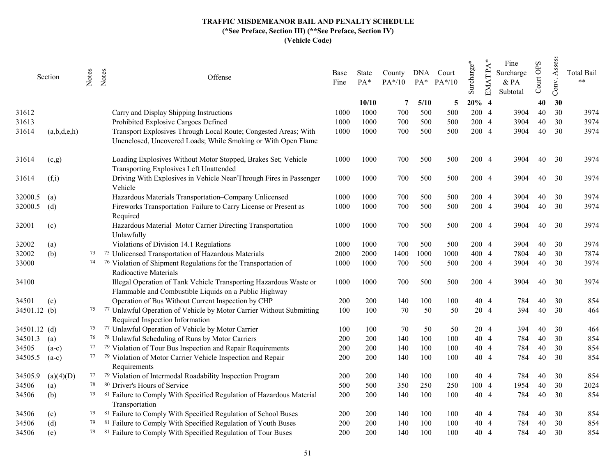|              | Section     | Notes | Notes<br>Offense                                                                                                                 | Base<br>Fine | State<br>PA* | County<br>$PA*/10$ | DNA<br>$PA*$ | Court<br>$PA*/10$ | Surcharge* | <b>EMATPA</b>  | Fine<br>Surcharge<br>& PA<br>Subtotal | Court OPS | Assess<br>Conv. | <b>Total Bail</b><br>$**$ |
|--------------|-------------|-------|----------------------------------------------------------------------------------------------------------------------------------|--------------|--------------|--------------------|--------------|-------------------|------------|----------------|---------------------------------------|-----------|-----------------|---------------------------|
|              |             |       |                                                                                                                                  |              | 10/10        | 7                  | 5/10         | 5                 | 20%        | $\overline{4}$ |                                       | 40        | 30              |                           |
| 31612        |             |       | Carry and Display Shipping Instructions                                                                                          | 1000         | 1000         | 700                | 500          | 500               | 200        | $\overline{4}$ | 3904                                  | 40        | 30              | 3974                      |
| 31613        |             |       | Prohibited Explosive Cargoes Defined                                                                                             | 1000         | 1000         | 700                | 500          | 500               | 200        | $\overline{4}$ | 3904                                  | 40        | 30              | 3974                      |
| 31614        | (a,b,d,e,h) |       | Transport Explosives Through Local Route; Congested Areas; With<br>Unenclosed, Uncovered Loads; While Smoking or With Open Flame | 1000         | 1000         | 700                | 500          | 500               | 200        | $\overline{4}$ | 3904                                  | 40        | 30              | 3974                      |
| 31614        | (c,g)       |       | Loading Explosives Without Motor Stopped, Brakes Set; Vehicle<br>Transporting Explosives Left Unattended                         | 1000         | 1000         | 700                | 500          | 500               | 200 4      |                | 3904                                  | 40        | 30              | 3974                      |
| 31614        | (f,i)       |       | Driving With Explosives in Vehicle Near/Through Fires in Passenger<br>Vehicle                                                    | 1000         | 1000         | 700                | 500          | 500               | 200 4      |                | 3904                                  | 40        | 30              | 3974                      |
| 32000.5      | (a)         |       | Hazardous Materials Transportation-Company Unlicensed                                                                            | 1000         | 1000         | 700                | 500          | 500               | 200 4      |                | 3904                                  | 40        | 30              | 3974                      |
| 32000.5      | (d)         |       | Fireworks Transportation-Failure to Carry License or Present as<br>Required                                                      | 1000         | 1000         | 700                | 500          | 500               | 200 4      |                | 3904                                  | 40        | 30              | 3974                      |
| 32001        | (c)         |       | Hazardous Material-Motor Carrier Directing Transportation<br>Unlawfully                                                          | 1000         | 1000         | 700                | 500          | 500               | 200 4      |                | 3904                                  | 40        | 30              | 3974                      |
| 32002        | (a)         |       | Violations of Division 14.1 Regulations                                                                                          | 1000         | 1000         | 700                | 500          | 500               |            | 200 4          | 3904                                  | 40        | 30              | 3974                      |
| 32002        | (b)         | 73    | <sup>75</sup> Unlicensed Transportation of Hazardous Materials                                                                   | 2000         | 2000         | 1400               | 1000         | 1000              | 400 4      |                | 7804                                  | 40        | 30              | 7874                      |
| 33000        |             |       | <sup>76</sup> Violation of Shipment Regulations for the Transportation of<br>Radioactive Materials                               | 1000         | 1000         | 700                | 500          | 500               | 200 4      |                | 3904                                  | 40        | 30              | 3974                      |
| 34100        |             |       | Illegal Operation of Tank Vehicle Transporting Hazardous Waste or<br>Flammable and Combustible Liquids on a Public Highway       | 1000         | 1000         | 700                | 500          | 500               | 200 4      |                | 3904                                  | 40        | 30              | 3974                      |
| 34501        | (e)         |       | Operation of Bus Without Current Inspection by CHP                                                                               | 200          | 200          | 140                | 100          | 100               |            | 40 4           | 784                                   | 40        | 30              | 854                       |
| 34501.12 (b) |             |       | <sup>75</sup> <sup>77</sup> Unlawful Operation of Vehicle by Motor Carrier Without Submitting<br>Required Inspection Information | 100          | 100          | 70                 | 50           | 50                |            | 20 4           | 394                                   | 40        | 30              | 464                       |
| 34501.12 (d) |             | 75    | 77 Unlawful Operation of Vehicle by Motor Carrier                                                                                | 100          | 100          | 70                 | 50           | 50                |            | 20 4           | 394                                   | 40        | 30              | 464                       |
| 34501.3      | (a)         | 76    | <sup>78</sup> Unlawful Scheduling of Runs by Motor Carriers                                                                      | 200          | 200          | 140                | 100          | 100               |            | 40 4           | 784                                   | 40        | 30              | 854                       |
| 34505        | $(a-c)$     | 77    | <sup>79</sup> Violation of Tour Bus Inspection and Repair Requirements                                                           | 200          | 200          | 140                | 100          | 100               |            | 404            | 784                                   | 40        | 30              | 854                       |
| 34505.5      | $(a-c)$     |       | <sup>77</sup> <sup>79</sup> Violation of Motor Carrier Vehicle Inspection and Repair<br>Requirements                             | 200          | 200          | 140                | 100          | 100               |            | 40 4           | 784                                   | 40        | 30              | 854                       |
| 34505.9      | (a)(4)(D)   |       | 77 79 Violation of Intermodal Roadability Inspection Program                                                                     | 200          | 200          | 140                | 100          | 100               |            | 40 4           | 784                                   | 40        | 30              | 854                       |
| 34506        | (a)         | 78    | <sup>80</sup> Driver's Hours of Service                                                                                          | 500          | 500          | 350                | 250          | 250               | 100 4      |                | 1954                                  | 40        | 30              | 2024                      |
| 34506        | (b)         | 79    | 81 Failure to Comply With Specified Regulation of Hazardous Material<br>Transportation                                           | 200          | 200          | 140                | 100          | 100               |            | 40 4           | 784                                   | 40        | 30              | 854                       |
| 34506        | (c)         | 79    | <sup>81</sup> Failure to Comply With Specified Regulation of School Buses                                                        | 200          | 200          | 140                | 100          | 100               |            | 40 4           | 784                                   | 40        | 30              | 854                       |
| 34506        | (d)         | 79    | <sup>81</sup> Failure to Comply With Specified Regulation of Youth Buses                                                         | 200          | 200          | 140                | 100          | 100               |            | 40 4           | 784                                   | 40        | 30              | 854                       |
| 34506        | (e)         | 79    | <sup>81</sup> Failure to Comply With Specified Regulation of Tour Buses                                                          | 200          | 200          | 140                | 100          | 100               | 40         | $\overline{4}$ | 784                                   | 40        | 30              | 854                       |
|              |             |       |                                                                                                                                  |              |              |                    |              |                   |            |                |                                       |           |                 |                           |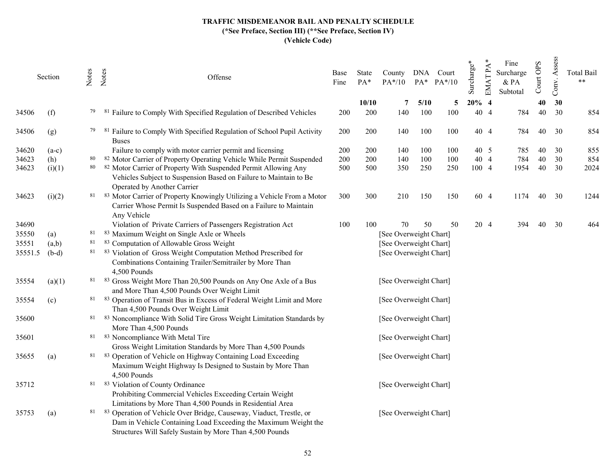|         | Section | Notes | Notes<br>Offense                                                                                                                                                                                   | Base<br>Fine | State<br>PA* | County<br>$PA*/10$     |             | DNA Court<br>$PA^*$ $PA^*/10$ | Surcharge* | $EMATPA*$                        | Fine<br>Surcharge<br>& PA<br>Subtotal | Court OPS | Assess<br>Conv. | <b>Total Bail</b><br>$**$ |
|---------|---------|-------|----------------------------------------------------------------------------------------------------------------------------------------------------------------------------------------------------|--------------|--------------|------------------------|-------------|-------------------------------|------------|----------------------------------|---------------------------------------|-----------|-----------------|---------------------------|
| 34506   | (f)     | 79    | Failure to Comply With Specified Regulation of Described Vehicles<br>-81                                                                                                                           | 200          | 10/10<br>200 | 7<br>140               | 5/10<br>100 | 5<br>100                      | 20%<br>40  | $\overline{4}$<br>$\overline{4}$ | 784                                   | 40<br>40  | 30<br>30        | 854                       |
|         |         |       |                                                                                                                                                                                                    |              |              |                        |             |                               |            |                                  |                                       |           |                 |                           |
| 34506   | (g)     | 79    | Failure to Comply With Specified Regulation of School Pupil Activity<br><b>Buses</b>                                                                                                               | 200          | 200          | 140                    | 100         | 100                           |            | 40 4                             | 784                                   | 40        | 30              | 854                       |
| 34620   | $(a-c)$ |       | Failure to comply with motor carrier permit and licensing                                                                                                                                          | 200          | 200          | 140                    | 100         | 100                           |            | 40 5                             | 785                                   | 40        | 30              | 855                       |
| 34623   | (h)     | 80    | 82 Motor Carrier of Property Operating Vehicle While Permit Suspended                                                                                                                              | 200          | 200          | 140                    | 100         | 100                           |            | 40 4                             | 784                                   | 40        | 30              | 854                       |
| 34623   | (i)(1)  | 80    | 82 Motor Carrier of Property With Suspended Permit Allowing Any<br>Vehicles Subject to Suspension Based on Failure to Maintain to Be<br>Operated by Another Carrier                                | 500          | 500          | 350                    | 250         | 250                           |            | 100 4                            | 1954                                  | 40        | 30              | 2024                      |
| 34623   | (i)(2)  |       | 81 83 Motor Carrier of Property Knowingly Utilizing a Vehicle From a Motor<br>Carrier Whose Permit Is Suspended Based on a Failure to Maintain<br>Any Vehicle                                      | 300          | 300          | 210                    | 150         | 150                           |            | 60 4                             | 1174                                  | 40        | 30              | 1244                      |
| 34690   |         |       | Violation of Private Carriers of Passengers Registration Act                                                                                                                                       | 100          | 100          | 70                     | 50          | 50                            |            | 20 4                             | 394                                   | 40        | 30              | 464                       |
| 35550   | (a)     | 81    | 83 Maximum Weight on Single Axle or Wheels                                                                                                                                                         |              |              | [See Overweight Chart] |             |                               |            |                                  |                                       |           |                 |                           |
| 35551   | (a,b)   | 81    | 83 Computation of Allowable Gross Weight                                                                                                                                                           |              |              | [See Overweight Chart] |             |                               |            |                                  |                                       |           |                 |                           |
| 35551.5 | $(b-d)$ |       | 81 83 Violation of Gross Weight Computation Method Prescribed for<br>Combinations Containing Trailer/Semitrailer by More Than<br>4,500 Pounds                                                      |              |              | [See Overweight Chart] |             |                               |            |                                  |                                       |           |                 |                           |
| 35554   | (a)(1)  |       | 81 83 Gross Weight More Than 20,500 Pounds on Any One Axle of a Bus<br>and More Than 4,500 Pounds Over Weight Limit                                                                                |              |              | [See Overweight Chart] |             |                               |            |                                  |                                       |           |                 |                           |
| 35554   | (c)     |       | 81 83 Operation of Transit Bus in Excess of Federal Weight Limit and More<br>Than 4,500 Pounds Over Weight Limit                                                                                   |              |              | [See Overweight Chart] |             |                               |            |                                  |                                       |           |                 |                           |
| 35600   |         | 81    | 83 Noncompliance With Solid Tire Gross Weight Limitation Standards by<br>More Than 4,500 Pounds                                                                                                    |              |              | [See Overweight Chart] |             |                               |            |                                  |                                       |           |                 |                           |
| 35601   |         |       | 81 83 Noncompliance With Metal Tire<br>Gross Weight Limitation Standards by More Than 4,500 Pounds                                                                                                 |              |              | [See Overweight Chart] |             |                               |            |                                  |                                       |           |                 |                           |
| 35655   | (a)     | 81    | 83 Operation of Vehicle on Highway Containing Load Exceeding<br>Maximum Weight Highway Is Designed to Sustain by More Than<br>4,500 Pounds                                                         |              |              | [See Overweight Chart] |             |                               |            |                                  |                                       |           |                 |                           |
| 35712   |         |       | 81 83 Violation of County Ordinance<br>Prohibiting Commercial Vehicles Exceeding Certain Weight<br>Limitations by More Than 4,500 Pounds in Residential Area                                       |              |              | [See Overweight Chart] |             |                               |            |                                  |                                       |           |                 |                           |
| 35753   | (a)     | 81    | 83 Operation of Vehicle Over Bridge, Causeway, Viaduct, Trestle, or<br>Dam in Vehicle Containing Load Exceeding the Maximum Weight the<br>Structures Will Safely Sustain by More Than 4,500 Pounds |              |              | [See Overweight Chart] |             |                               |            |                                  |                                       |           |                 |                           |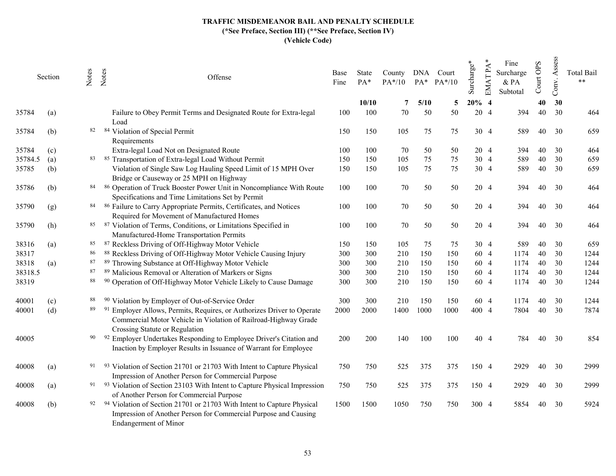|         | Section | Notes | Notes<br>Offense                                                                                                                                                          | Base<br>Fine | State<br>PA* | County<br>$PA*/10$ |      | DNA Court<br>PA* PA*/10 | Surcharge* | <b>EMATPA</b>  | Fine<br>Surcharge<br>& PA<br>Subtotal | Court OPS | Assess<br>Conv. | <b>Total Bail</b><br>$**$ |
|---------|---------|-------|---------------------------------------------------------------------------------------------------------------------------------------------------------------------------|--------------|--------------|--------------------|------|-------------------------|------------|----------------|---------------------------------------|-----------|-----------------|---------------------------|
|         |         |       |                                                                                                                                                                           |              | 10/10        | 7                  | 5/10 | 5                       | 20%        | $\overline{4}$ |                                       | 40        | 30              |                           |
| 35784   | (a)     |       | Failure to Obey Permit Terms and Designated Route for Extra-legal<br>Load                                                                                                 | 100          | 100          | 70                 | 50   | 50                      | 20         | $\overline{4}$ | 394                                   | 40        | 30              | 464                       |
| 35784   | (b)     | 82    | 84 Violation of Special Permit<br>Requirements                                                                                                                            | 150          | 150          | 105                | 75   | 75                      |            | 30 4           | 589                                   | 40        | 30              | 659                       |
| 35784   | (c)     |       | Extra-legal Load Not on Designated Route                                                                                                                                  | 100          | 100          | 70                 | 50   | 50                      | 20         | $\overline{4}$ | 394                                   | 40        | 30              | 464                       |
| 35784.5 | (a)     | 83    | 85 Transportation of Extra-legal Load Without Permit                                                                                                                      | 150          | 150          | 105                | 75   | 75                      |            | 30 4           | 589                                   | 40        | 30              | 659                       |
| 35785   | (b)     |       | Violation of Single Saw Log Hauling Speed Limit of 15 MPH Over<br>Bridge or Causeway or 25 MPH on Highway                                                                 | 150          | 150          | 105                | 75   | 75                      |            | 30 4           | 589                                   | 40        | 30              | 659                       |
| 35786   | (b)     | 84    | 86 Operation of Truck Booster Power Unit in Noncompliance With Route<br>Specifications and Time Limitations Set by Permit                                                 | 100          | 100          | 70                 | 50   | 50                      |            | 20 4           | 394                                   | 40        | 30              | 464                       |
| 35790   | (g)     | 84    | 86 Failure to Carry Appropriate Permits, Certificates, and Notices<br>Required for Movement of Manufactured Homes                                                         | 100          | 100          | 70                 | 50   | 50                      |            | 20 4           | 394                                   | 40        | 30              | 464                       |
| 35790   | (h)     | 85    | 87 Violation of Terms, Conditions, or Limitations Specified in<br>Manufactured-Home Transportation Permits                                                                | 100          | 100          | 70                 | 50   | 50                      |            | 20 4           | 394                                   | 40        | 30              | 464                       |
| 38316   | (a)     | 85    | 87 Reckless Driving of Off-Highway Motor Vehicle                                                                                                                          | 150          | 150          | 105                | 75   | 75                      |            | 30 4           | 589                                   | 40        | 30              | 659                       |
| 38317   |         | 86    | 88 Reckless Driving of Off-Highway Motor Vehicle Causing Injury                                                                                                           | 300          | 300          | 210                | 150  | 150                     |            | 60 4           | 1174                                  | 40        | 30              | 1244                      |
| 38318   | (a)     | 87    | 89 Throwing Substance at Off-Highway Motor Vehicle                                                                                                                        | 300          | 300          | 210                | 150  | 150                     |            | 60 4           | 1174                                  | 40        | 30              | 1244                      |
| 38318.5 |         | 87    | 89 Malicious Removal or Alteration of Markers or Signs                                                                                                                    | 300          | 300          | 210                | 150  | 150                     |            | 60 4           | 1174                                  | 40        | 30              | 1244                      |
| 38319   |         | 88    | 90 Operation of Off-Highway Motor Vehicle Likely to Cause Damage                                                                                                          | 300          | 300          | 210                | 150  | 150                     |            | 60 4           | 1174                                  | 40        | 30              | 1244                      |
| 40001   | (c)     | 88    | 90 Violation by Employer of Out-of-Service Order                                                                                                                          | 300          | 300          | 210                | 150  | 150                     |            | 60 4           | 1174                                  | 40        | 30              | 1244                      |
| 40001   | (d)     | 89    | Employer Allows, Permits, Requires, or Authorizes Driver to Operate<br>Commercial Motor Vehicle in Violation of Railroad-Highway Grade<br>Crossing Statute or Regulation  | 2000         | 2000         | 1400               | 1000 | 1000                    | 400 4      |                | 7804                                  | 40        | 30              | 7874                      |
| 40005   |         | 90    | 92 Employer Undertakes Responding to Employee Driver's Citation and<br>Inaction by Employer Results in Issuance of Warrant for Employee                                   | 200          | 200          | 140                | 100  | 100                     |            | 40 4           | 784                                   | 40        | 30              | 854                       |
| 40008   | (a)     | 91    | 93 Violation of Section 21701 or 21703 With Intent to Capture Physical<br>Impression of Another Person for Commercial Purpose                                             | 750          | 750          | 525                | 375  | 375                     | 150 4      |                | 2929                                  | 40        | 30              | 2999                      |
| 40008   | (a)     |       | 91 93 Violation of Section 23103 With Intent to Capture Physical Impression<br>of Another Person for Commercial Purpose                                                   | 750          | 750          | 525                | 375  | 375                     | 150 4      |                | 2929                                  | 40        | 30              | 2999                      |
| 40008   | (b)     | 92    | 94 Violation of Section 21701 or 21703 With Intent to Capture Physical<br>Impression of Another Person for Commercial Purpose and Causing<br><b>Endangerment</b> of Minor | 1500         | 1500         | 1050               | 750  | 750                     | 300 4      |                | 5854                                  | 40        | 30              | 5924                      |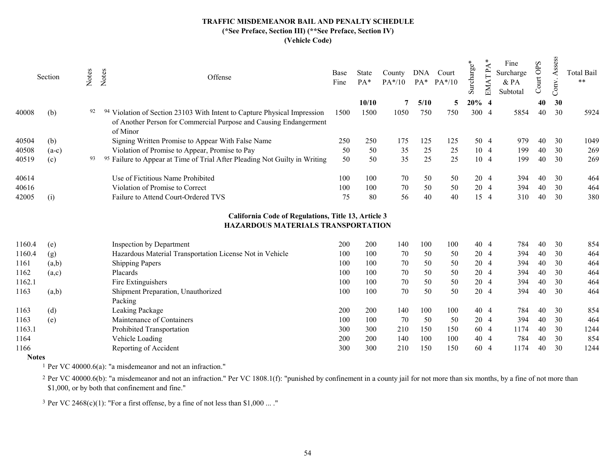|       | Section | Votes | Notes | Offense                                                                                                                                                | Base<br>Fine | State<br>$PA*$ | County<br>$PA*/10$ | <b>DNA</b><br>$PA^*$ | Court<br>$PA*/10$ | arge <sup>:</sup><br>Surch | ⋖<br>⊢<br>띧 | Fine<br>Surcharge<br>& PA<br>Subtotal | <b>GdO</b><br>Court | $\overline{\text{m}}$ | <b>Total Bail</b><br>$**$ |
|-------|---------|-------|-------|--------------------------------------------------------------------------------------------------------------------------------------------------------|--------------|----------------|--------------------|----------------------|-------------------|----------------------------|-------------|---------------------------------------|---------------------|-----------------------|---------------------------|
|       |         |       |       |                                                                                                                                                        |              | 10/10          |                    | 5/10                 |                   | $20\%$ 4                   |             |                                       | 40                  | 30                    |                           |
| 40008 | (b)     | 92    |       | Violation of Section 23103 With Intent to Capture Physical Impression<br>of Another Person for Commercial Purpose and Causing Endangerment<br>of Minor | 1500         | 1500           | 1050               | 750                  | 750               | 300 4                      |             | 5854                                  | 40                  | 30                    | 5924                      |
| 40504 | (b)     |       |       | Signing Written Promise to Appear With False Name                                                                                                      | 250          | 250            | 175                | 125                  | 125               |                            | 50 4        | 979                                   | 40                  | 30                    | 1049                      |
| 40508 | $(a-c)$ |       |       | Violation of Promise to Appear, Promise to Pay                                                                                                         | 50           | 50             | 35                 | 25                   | 25                |                            | 10 4        | 199                                   | 40                  | 30                    | 269                       |
| 40519 | (c)     | 93    |       | Failure to Appear at Time of Trial After Pleading Not Guilty in Writing<br>95                                                                          | 50           | 50             | 35                 | 25                   | 25                |                            | 10 4        | 199                                   | 40                  | 30                    | 269                       |
| 40614 |         |       |       | Use of Fictitious Name Prohibited                                                                                                                      | 100          | 100            | 70                 | 50                   | 50                |                            | 20 4        | 394                                   | 40                  | 30                    | 464                       |
| 40616 |         |       |       | Violation of Promise to Correct                                                                                                                        | 100          | 100            | 70                 | 50                   | 50                |                            | 20 4        | 394                                   | 40                  | 30                    | 464                       |
| 42005 | (i)     |       |       | Failure to Attend Court-Ordered TVS                                                                                                                    | 75           | 80             | 56                 | 40                   | 40                |                            | 15 4        | 310                                   | 40                  | 30                    | 380                       |
|       |         |       |       |                                                                                                                                                        |              |                |                    |                      |                   |                            |             |                                       |                     |                       |                           |

# California Code of Regulations, Title 13, Article 3 HAZARDOUS MATERIALS TRANSPORTATION

| 1160.4 | (e)   | Inspection by Department                                 | 200 | 200 | 140 | 100 | 100 | 40 4 | 784  | 40 | 30 | 854  |
|--------|-------|----------------------------------------------------------|-----|-----|-----|-----|-----|------|------|----|----|------|
| 1160.4 | (g)   | Hazardous Material Transportation License Not in Vehicle | 100 | 100 | 70  | 50  | 50  | 20 4 | 394  | 40 | 30 | 464  |
| 1161   | (a,b) | <b>Shipping Papers</b>                                   | 100 | 100 | 70  | 50  | 50  | 20 4 | 394  | 40 | 30 | 464  |
| 1162   | (a,c) | Placards                                                 | 100 | 100 | 70  | 50  | 50  | 20 4 | 394  | 40 | 30 | 464  |
| 1162.1 |       | Fire Extinguishers                                       | 100 | 100 | 70  | 50  | 50  | 20 4 | 394  | 40 | 30 | 464  |
| 1163   | (a,b) | Shipment Preparation, Unauthorized                       | 100 | 100 | 70  | 50  | 50  | 20 4 | 394  | 40 | 30 | 464  |
|        |       | Packing                                                  |     |     |     |     |     |      |      |    |    |      |
| 1163   | (d)   | Leaking Package                                          | 200 | 200 | 140 | 100 | 100 | 40 4 | 784  | 40 | 30 | 854  |
| 1163   | (e)   | Maintenance of Containers                                | 100 | 100 | 70  | 50  | 50  | 20 4 | 394  | 40 | 30 | 464  |
| 1163.1 |       | Prohibited Transportation                                | 300 | 300 | 210 | 150 | 150 | 60 4 | 1174 | 40 | 30 | 1244 |
| 1164   |       | Vehicle Loading                                          | 200 | 200 | 140 | 100 | 100 | 40 4 | 784  | 40 | 30 | 854  |
| 1166   |       | Reporting of Accident                                    | 300 | 300 | 210 | 150 | 150 | 60 4 | 1174 | 40 | 30 | 1244 |
|        |       |                                                          |     |     |     |     |     |      |      |    |    |      |

Notes

1 Per VC 40000.6(a): "a misdemeanor and not an infraction."

<sup>2</sup> Per VC 40000.6(b): "a misdemeanor and not an infraction." Per VC 1808.1(f): "punished by confinement in a county jail for not more than six months, by a fine of not more than \$1,000, or by both that confinement and fine."

<sup>3</sup> Per VC 2468(c)(1): "For a first offense, by a fine of not less than \$1,000 ... ."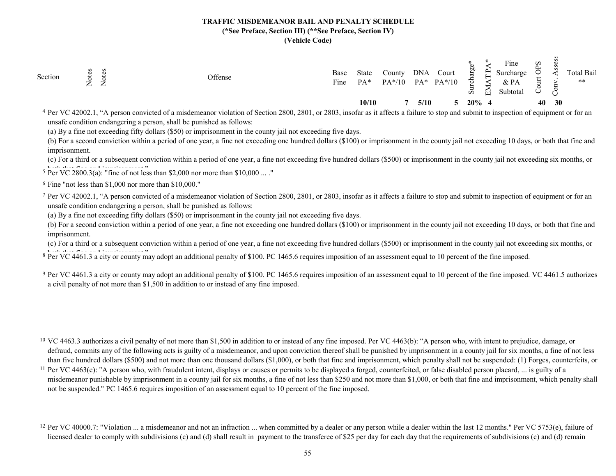| S<br>Section<br>∽<br>$\overline{\phantom{0}}$<br>$\leftarrow$<br>$\leftarrow$ | Offense                                                                                                | Base<br>Fine         | <b>State</b><br>PA* | $\sqrt{\text{0unty}}$<br>$PA*/10$ | <b>DNA</b><br>$PA*$ | Court<br>$PA*/10$ | æ<br>ਨੋ<br>Ö,                                                                                                          | <b>PH</b><br>靣 | $\mathbf{r}$<br>Fine<br>Surcharge<br>& PA<br>Subtotal | $\tilde{\mathbf{S}}$<br>Þ |    | Total Bail<br>$***$ |
|-------------------------------------------------------------------------------|--------------------------------------------------------------------------------------------------------|----------------------|---------------------|-----------------------------------|---------------------|-------------------|------------------------------------------------------------------------------------------------------------------------|----------------|-------------------------------------------------------|---------------------------|----|---------------------|
|                                                                               |                                                                                                        |                      | 10/10               |                                   | 5/10                |                   | $20\%$ 4                                                                                                               |                |                                                       | 40                        | 30 |                     |
| $\overline{AB}$ $\overline{AB}$ $\overline{AB}$                               | $\sim$ $\sim$<br>$2000 - 2001$<br>.<br>$\cdot$ $\cdot$ $\cdot$ $\cdot$<br>the contract of the contract | $\sim$ $\sim$ $\sim$ |                     | $\sim$ 00 $\sim$ 0.11             |                     |                   | <b>Contact Contact Contact Contact Contact Contact Contact Contact Contact Contact Contact Contact Contact Contact</b> |                |                                                       | $\sim$ $\sim$ $\sim$      |    |                     |

<sup>4</sup> Per VC 42002.1, "A person convicted of a misdemeanor violation of Section 2800, 2801, or 2803, insofar as it affects a failure to stop and submit to inspection of equipment or for an unsafe condition endangering a person, shall be punished as follows:

(a) By a fine not exceeding fifty dollars (\$50) or imprisonment in the county jail not exceeding five days.

(b) For a second conviction within a period of one year, a fine not exceeding one hundred dollars (\$100) or imprisonment in the county jail not exceeding 10 days, or both that fine and imprisonment.

 $5 \text{ Per VC } 2800.3(a)$ : "fine of not less than \$2,000 nor more than \$10,000 ...." (c) For a third or a subsequent conviction within a period of one year, a fine not exceeding five hundred dollars (\$500) or imprisonment in the county jail not exceeding six months, or

6 Fine "not less than \$1,000 nor more than \$10,000."

7 Per VC 42002.1, "A person convicted of a misdemeanor violation of Section 2800, 2801, or 2803, insofar as it affects a failure to stop and submit to inspection of equipment or for an unsafe condition endangering a person, shall be punished as follows:

(a) By a fine not exceeding fifty dollars (\$50) or imprisonment in the county jail not exceeding five days.

(b) For a second conviction within a period of one year, a fine not exceeding one hundred dollars (\$100) or imprisonment in the county jail not exceeding 10 days, or both that fine and imprisonment.

(c) For a third or a subsequent conviction within a period of one year, a fine not exceeding five hundred dollars (\$500) or imprisonment in the county jail not exceeding six months, or

 $\frac{1}{8}$  Per VC 4461.3 a city or county may adopt an additional penalty of \$100. PC 1465.6 requires imposition of an assessment equal to 10 percent of the fine imposed.

<sup>9</sup> Per VC 4461.3 a city or county may adopt an additional penalty of \$100. PC 1465.6 requires imposition of an assessment equal to 10 percent of the fine imposed. VC 4461.5 authorizes a civil penalty of not more than \$1,500 in addition to or instead of any fine imposed.

<sup>10</sup> VC 4463.3 authorizes a civil penalty of not more than \$1,500 in addition to or instead of any fine imposed. Per VC 4463(b): "A person who, with intent to prejudice, damage, or defraud, commits any of the following acts is guilty of a misdemeanor, and upon conviction thereof shall be punished by imprisonment in a county jail for six months, a fine of not less than five hundred dollars (\$500) and not more than one thousand dollars (\$1,000), or both that fine and imprisonment, which penalty shall not be suspended: (1) Forges, counterfeits, or

<sup>11</sup> Per VC 4463(c): "A person who, with fraudulent intent, displays or causes or permits to be displayed a forged, counterfeited, or false disabled person placard, ... is guilty of a misdemeanor punishable by imprisonment in a county jail for six months, a fine of not less than \$250 and not more than \$1,000, or both that fine and imprisonment, which penalty shall not be suspended." PC 1465.6 requires imposition of an assessment equal to 10 percent of the fine imposed.

<sup>12</sup> Per VC 40000.7: "Violation ... a misdemeanor and not an infraction ... when committed by a dealer or any person while a dealer within the last 12 months." Per VC 5753(e), failure of licensed dealer to comply with subdivisions (c) and (d) shall result in payment to the transferee of \$25 per day for each day that the requirements of subdivisions (c) and (d) remain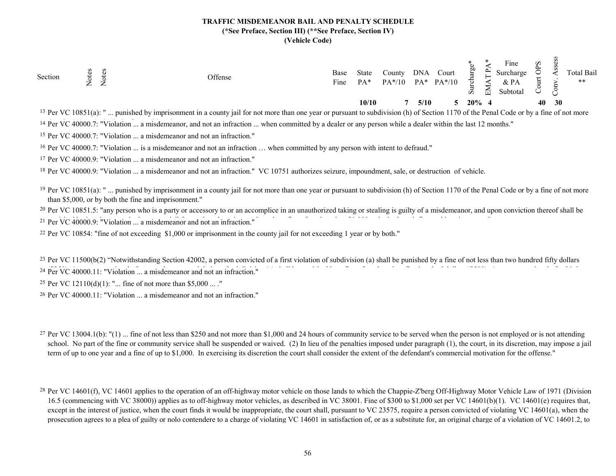| Section                   | w<br>ー<br>$\leftarrow$ | –<br>∼ | Offense                                                                                                                                                        | Base<br>Fine | State<br>$PA*$ | County.<br>$PA*/10$ | <b>DNA</b><br>$PA*$ | Court<br>$PA*/10$ | p0<br>↢<br>Ö. | ⊶<br>닏 | $\mathbf{r}$<br>Fine<br>Surcharge<br>$&$ PA<br>Subtotal | $\tilde{\mathbf{S}}$ |           | Total Bail<br>$***$ |
|---------------------------|------------------------|--------|----------------------------------------------------------------------------------------------------------------------------------------------------------------|--------------|----------------|---------------------|---------------------|-------------------|---------------|--------|---------------------------------------------------------|----------------------|-----------|---------------------|
|                           |                        |        |                                                                                                                                                                |              | 10/10          |                     |                     | 5/10              | $20\%$ 4      |        |                                                         | 40                   | <b>30</b> |                     |
| $13$ Per VC $10851(a)$ ." |                        |        | nunished by imprisonment in a county jail for not more than one year or pursuant to subdivision (b) of Section 1170 of the Penal Code or by a fine of not more |              |                |                     |                     |                   |               |        |                                                         |                      |           |                     |

<sup>14</sup> Per VC 40000.7: "Violation ... a misdemeanor, and not an infraction ... when committed by a dealer or any person while a dealer within the last 12 months." Per VC 10851(a): " ... punished by imprisonment in a county jail for not more than one year or pursuant to subdivision (h) of Section 1170 of the Penal Code or by a fine of not more

15 Per VC 40000.7: "Violation ... a misdemeanor and not an infraction."

<sup>16</sup> Per VC 40000.7: "Violation ... is a misdemeanor and not an infraction ... when committed by any person with intent to defraud."

17 Per VC 40000.9: "Violation ... a misdemeanor and not an infraction."

<sup>18</sup> Per VC 40000.9: "Violation ... a misdemeanor and not an infraction." VC 10751 authorizes seizure, impoundment, sale, or destruction of vehicle.

<sup>19</sup> Per VC 10851(a): "... punished by imprisonment in a county jail for not more than one year or pursuant to subdivision (h) of Section 1170 of the Penal Code or by a fine of not more than \$5,000, or by both the fine and imprisonment."

<sup>20</sup> Per VC 10851.5: "any person who is a party or accessory to or an accomplice in an unauthorized taking or stealing is guilty of a misdemeanor, and upon conviction thereof shall be

<sup>21</sup> Per VC 40000.9: "Violation ... a misdemeanor and not an infraction."

<sup>22</sup> Per VC 10854: "fine of not exceeding \$1,000 or imprisonment in the county jail for not exceeding 1 year or by both."

<sup>23</sup> Per VC 11500(b(2) "Notwithstanding Section 42002, a person convicted of a first violation of subdivision (a) shall be punished by a fine of not less than two hundred fifty dollars

<sup>24</sup> Per VC 40000.11: "Violation ... a misdemeanor and not an infraction."

25 Per VC 12110(d)(1): "... fine of not more than \$5,000 ... ."

26 Per VC 40000.11: "Violation ... a misdemeanor and not an infraction."

<sup>27</sup> Per VC 13004.1(b): "(1) ... fine of not less than \$250 and not more than \$1,000 and 24 hours of community service to be served when the person is not employed or is not attending school. No part of the fine or community service shall be suspended or waived. (2) In lieu of the penalties imposed under paragraph (1), the court, in its discretion, may impose a jail term of up to one year and a fine of up to \$1,000. In exercising its discretion the court shall consider the extent of the defendant's commercial motivation for the offense."

<sup>28</sup> Per VC 14601(f), VC 14601 applies to the operation of an off-highway motor vehicle on those lands to which the Chappie-Z'berg Off-Highway Motor Vehicle Law of 1971 (Division 16.5 (commencing with VC 38000)) applies as to off-highway motor vehicles, as described in VC 38001. Fine of \$300 to \$1,000 set per VC 14601(b)(1). VC 14601(e) requires that, except in the interest of justice, when the court finds it would be inappropriate, the court shall, pursuant to VC 23575, require a person convicted of violating VC 14601(a), when the prosecution agrees to a plea of guilty or nolo contendere to a charge of violating VC 14601 in satisfaction of, or as a substitute for, an original charge of a violation of VC 14601.2, to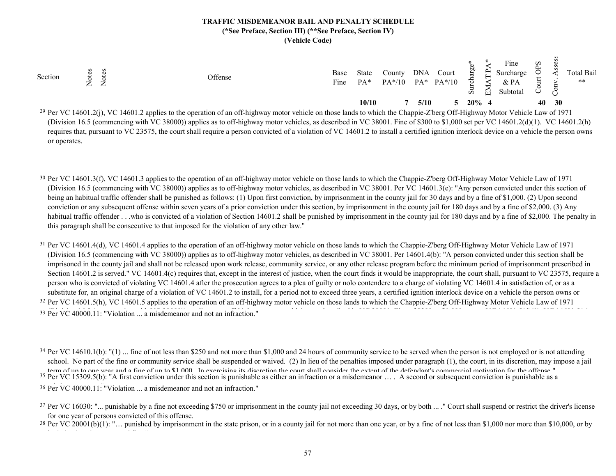| Section | ー<br>$\leftarrow$ | $\overline{\phantom{a}}$ | Offense                                                                                                                                                                             | Base<br>Fine | State<br>$PA*$ | County<br>$PA*/10$ | <b>DNA</b><br>$PA*$ | Court<br>$PA*/10$ | 60<br>ਜ<br>v. | ⊶<br>囩 | $\mathbf{r}$<br>Fine<br>Surcharge<br>& PA<br>Subtotal | $\tilde{\mathbf{S}}$ |           | Total Bail<br>$***$ |
|---------|-------------------|--------------------------|-------------------------------------------------------------------------------------------------------------------------------------------------------------------------------------|--------------|----------------|--------------------|---------------------|-------------------|---------------|--------|-------------------------------------------------------|----------------------|-----------|---------------------|
|         |                   |                          |                                                                                                                                                                                     |              | 10/10          |                    |                     | 5/10              | $20\%$ 4      |        |                                                       | 40                   | <b>30</b> |                     |
|         |                   |                          | <sup>29</sup> Per VC 14601 2(i) VC 14601 2 applies to the operation of an off-highway motor vehicle on those lands to which the Channie-Zhero Off-Highway Motor Vehicle Law of 1971 |              |                |                    |                     |                   |               |        |                                                       |                      |           |                     |

Per VC 14601.2(j), VC 14601.2 applies to the operation of an off-highway motor vehicle on those lands to which the Chappie-Z'berg Off-Highway Motor Vehicle Law of 1971 (Division 16.5 (commencing with VC 38000)) applies as to off-highway motor vehicles, as described in VC 38001. Fine of \$300 to \$1,000 set per VC 14601.2(d)(1). VC 14601.2(h) requires that, pursuant to VC 23575, the court shall require a person convicted of a violation of VC 14601.2 to install a certified ignition interlock device on a vehicle the person owns or operates.

- <sup>30</sup> Per VC 14601.3(f), VC 14601.3 applies to the operation of an off-highway motor vehicle on those lands to which the Chappie-Z'berg Off-Highway Motor Vehicle Law of 1971 (Division 16.5 (commencing with VC 38000)) applies as to off-highway motor vehicles, as described in VC 38001. Per VC 14601.3(e): "Any person convicted under this section of being an habitual traffic offender shall be punished as follows: (1) Upon first conviction, by imprisonment in the county jail for 30 days and by a fine of \$1,000. (2) Upon second conviction or any subsequent offense within seven years of a prior conviction under this section, by imprisonment in the county jail for 180 days and by a fine of \$2,000. (3) Any habitual traffic offender . . .who is convicted of a violation of Section 14601.2 shall be punished by imprisonment in the county jail for 180 days and by a fine of \$2,000. The penalty in this paragraph shall be consecutive to that imposed for the violation of any other law."
- <sup>31</sup> Per VC 14601.4(d), VC 14601.4 applies to the operation of an off-highway motor vehicle on those lands to which the Chappie-Z'berg Off-Highway Motor Vehicle Law of 1971 <sup>32</sup> Per VC 14601.5(h), VC 14601.5 applies to the operation of an off-highway motor vehicle on those lands to which the Chappie-Z'berg Off-Highway Motor Vehicle Law of 1971 (Division 16.5 (commencing with VC 38000)) applies as to off-highway motor vehicles, as described in VC 38001. Per 14601.4(b): "A person convicted under this section shall be imprisoned in the county jail and shall not be released upon work release, community service, or any other release program before the minimum period of imprisonment prescribed in Section 14601.2 is served." VC 14601.4(c) requires that, except in the interest of justice, when the court finds it would be inappropriate, the court shall, pursuant to VC 23575, require a person who is convicted of violating VC 14601.4 after the prosecution agrees to a plea of guilty or nolo contendere to a charge of violating VC 14601.4 in satisfaction of, or as a substitute for, an original charge of a violation of VC 14601.2 to install, for a period not to exceed three years, a certified ignition interlock device on a vehicle the person owns or

33 Per VC 40000.11: "Violation ... a misdemeanor and not an infraction."

<sup>34</sup> Per VC 14610.1(b): "(1) ... fine of not less than \$250 and not more than \$1,000 and 24 hours of community service to be served when the person is not employed or is not attending <sup>35</sup> Per VC 15309.5(b): "A first conviction under this section is punishable as either an infraction or a misdemeanor ... A second or subsequent conviction is punishable as a school. No part of the fine or community service shall be suspended or waived. (2) In lieu of the penalties imposed under paragraph (1), the court, in its discretion, may impose a jail term of un to one vear and a fine of un to \$1,000. In exercising its discretion the court shall consider the extent of the defendant's commercial motivation for the offense."

<sup>36</sup> Per VC 40000.11: "Violation ... a misdemeanor and not an infraction."

<sup>&</sup>lt;sup>37</sup> Per VC 16030: "... punishable by a fine not exceeding \$750 or imprisonment in the county jail not exceeding 30 days, or by both ... ." Court shall suspend or restrict the driver's license for one year of persons convicted of this offense.

<sup>&</sup>lt;sup>38</sup> Per VC 20001(b)(1): "... punished by imprisonment in the state prison, or in a county jail for not more than one year, or by a fine of not less than \$1,000 nor more than \$10,000, or by both that imprisonment and fine."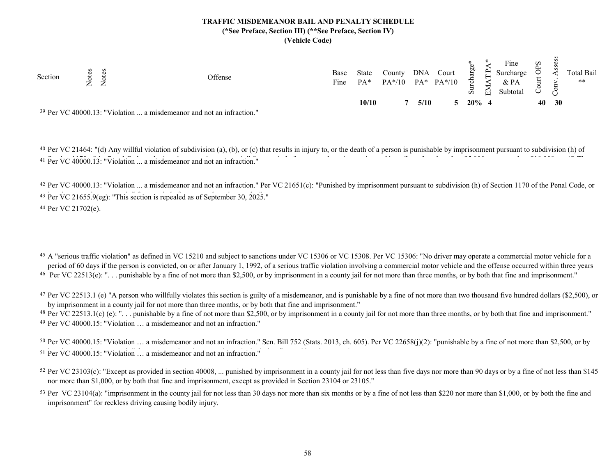| Section | Z | ⇁<br>← |                                                                                  | Offense | Base<br>Fine | <b>State</b><br>$PA*$ | County<br>$PA*/10$ | <b>DNA</b> | Court<br>$PA^*$ $PA^*/10$ | ξņ<br>ਠ<br>5 | $\mathsf{P}$<br>≺<br>문 | $\mathbf{r}$<br>Fine<br>Surcharge<br>& PA<br>Subtotal | Sd | ಲ     | Total Bail<br>$***$ |
|---------|---|--------|----------------------------------------------------------------------------------|---------|--------------|-----------------------|--------------------|------------|---------------------------|--------------|------------------------|-------------------------------------------------------|----|-------|---------------------|
|         |   |        |                                                                                  |         |              | 10/10                 |                    | 5/10       |                           |              | $20\%$ 4               |                                                       |    | 40 30 |                     |
|         |   |        | <sup>39</sup> Per VC 40000.13: "Violation  a misdemeanor and not an infraction." |         |              |                       |                    |            |                           |              |                        |                                                       |    |       |                     |

<sup>40</sup> Per VC 21464: "(d) Any willful violation of subdivision (a), (b), or (c) that results in injury to, or the death of a person is punishable by imprisonment pursuant to subdivision (h) of <sup>41</sup> Per VC 40000.13: "Violation ... a misdemeanor and not an infraction."

42 Per VC 40000.13: "Violation ... a misdemeanor and not an infraction." Per VC 21651(c): "Punished by imprisonment pursuant to subdivision (h) of Section 1170 of the Penal Code, or <sup>43</sup> Per VC 21655.9(eg): "This section is repealed as of September 30, 2025." 44 Per VC 21702(e).

<sup>45</sup> A "serious traffic violation" as defined in VC 15210 and subject to sanctions under VC 15306 or VC 15308. Per VC 15306: "No driver may operate a commercial motor vehicle for a  $46$  Per VC 22513(e): "... punishable by a fine of not more than \$2,500, or by imprisonment in a county jail for not more than three months, or by both that fine and imprisonment." period of 60 days if the person is convicted, on or after January 1, 1992, of a serious traffic violation involving a commercial motor vehicle and the offense occurred within three years

<sup>47</sup> Per VC 22513.1 (e) "A person who willfully violates this section is guilty of a misdemeanor, and is punishable by a fine of not more than two thousand five hundred dollars (\$2,500), or by imprisonment in a county jail for not more than three months, or by both that fine and imprisonment."

<sup>48</sup> Per VC 22513.1(c) (e): "... punishable by a fine of not more than \$2,500, or by imprisonment in a county jail for not more than three months, or by both that fine and imprisonment." 49 Per VC 40000.15: "Violation … a misdemeanor and not an infraction."

<sup>50</sup> Per VC 40000.15: "Violation ... a misdemeanor and not an infraction." Sen. Bill 752 (Stats. 2013, ch. 605). Per VC 22658(j)(2): "punishable by a fine of not more than \$2,500, or by <sup>51</sup> Per VC 40000.15: "Violation ... a misdemeanor and not an infraction."

<sup>52</sup> Per VC 23103(c): "Except as provided in section 40008, ... punished by imprisonment in a county jail for not less than five days nor more than 90 days or by a fine of not less than \$145 nor more than \$1,000, or by both that fine and imprisonment, except as provided in Section 23104 or 23105."

<sup>53</sup> Per VC 23104(a): "imprisonment in the county jail for not less than 30 days nor more than six months or by a fine of not less than \$220 nor more than \$1,000, or by both the fine and imprisonment" for reckless driving causing bodily injury.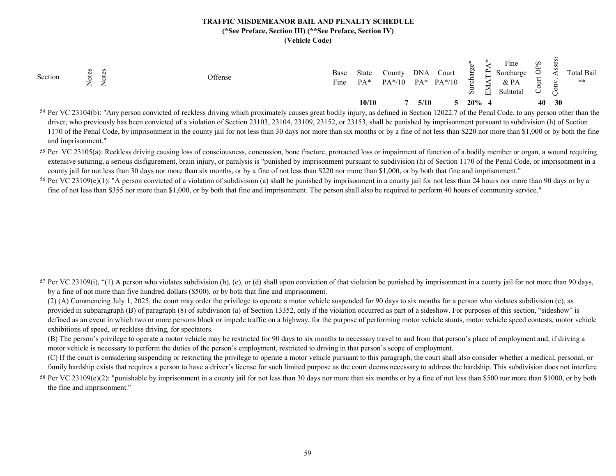| $PA^*$ $PA^*/10$<br>$\&$ PA<br>Fine<br>$PA*/10$<br>$PA*$<br>$\epsilon$<br>$\leftarrow$<br>$\tilde{\mathcal{S}}$<br>된<br>Subtotal<br>ö, |
|----------------------------------------------------------------------------------------------------------------------------------------|
| 30<br>10/10<br>$20\%$ 4<br>40<br>5/10                                                                                                  |

<sup>54</sup> Per VC 23104(b): "Any person convicted of reckless driving which proximately causes great bodily injury, as defined in Section 12022.7 of the Penal Code, to any person other than the driver, who previously has been convicted of a violation of Section 23103, 23104, 23109, 23152, or 23153, shall be punished by imprisonment pursuant to subdivision (h) of Section 1170 of the Penal Code, by imprisonment in the county jail for not less than 30 days nor more than six months or by a fine of not less than \$220 nor more than \$1,000 or by both the fine and imprisonment."

<sup>55</sup> Per VC 23105(a): Reckless driving causing loss of consciousness, concussion, bone fracture, protracted loss or impairment of function of a bodily member or organ, a wound requiring extensive suturing, a serious disfigurement, brain injury, or paralysis is "punished by imprisonment pursuant to subdivision (h) of Section 1170 of the Penal Code, or imprisonment in a county jail for not less than 30 days nor more than six months, or by a fine of not less than \$220 nor more than \$1,000, or by both that fine and imprisonment."

<sup>56</sup> Per VC 23109(e)(1): "A person convicted of a violation of subdivision (a) shall be punished by imprisonment in a county jail for not less than 24 hours nor more than 90 days or by a fine of not less than \$355 nor more than \$1,000, or by both that fine and imprisonment. The person shall also be required to perform 40 hours of community service."

<sup>57</sup> Per VC 23109(i), "(1) A person who violates subdivision (b), (c), or (d) shall upon conviction of that violation be punished by imprisonment in a county jail for not more than 90 days, by a fine of not more than five hundred dollars (\$500), or by both that fine and imprisonment.

(2) (A) Commencing July 1, 2025, the court may order the privilege to operate a motor vehicle suspended for 90 days to six months for a person who violates subdivision (c), as provided in subparagraph (B) of paragraph (8) of subdivision (a) of Section 13352, only if the violation occurred as part of a sideshow. For purposes of this section, "sideshow" is defined as an event in which two or more persons block or impede traffic on a highway, for the purpose of performing motor vehicle stunts, motor vehicle speed contests, motor vehicle exhibitions of speed, or reckless driving, for spectators.

(B) The person's privilege to operate a motor vehicle may be restricted for 90 days to six months to necessary travel to and from that person's place of employment and, if driving a motor vehicle is necessary to perform the duties of the person's employment, restricted to driving in that person's scope of employment.

(C) If the court is considering suspending or restricting the privilege to operate a motor vehicle pursuant to this paragraph, the court shall also consider whether a medical, personal, or family hardship exists that requires a person to have a driver's license for such limited purpose as the court deems necessary to address the hardship. This subdivision does not interfere

<sup>58</sup> Per VC 23109(e)(2): "punishable by imprisonment in a county jail for not less than 30 days nor more than six months or by a fine of not less than \$500 nor more than \$1000, or by both the fine and imprisonment."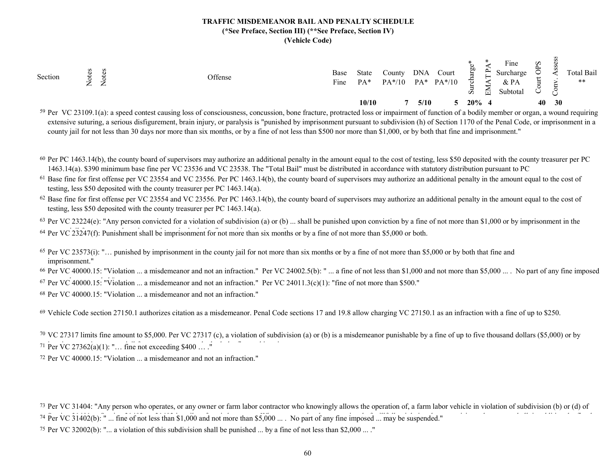| Section<br>Offense<br>⇁<br>$\sim$<br>$\leftarrow$ | Base<br>Fine | State<br>$PA*$ | $\mathcal{L}$ ounty<br>$PA*/10$ | <b>DNA</b> | Court<br>$PA^*$ $PA^*/10$ | æ<br>ਨ<br>$\ddot{\circ}$ | $\mathbf{r}$<br>둅 | $\mathbf{r}$<br>Fine<br>Surcharge<br>& PA<br>Subtotal | $\mathbf{S}^{\mathsf{c}}$ | ◡  | Total Bail<br>$***$ |
|---------------------------------------------------|--------------|----------------|---------------------------------|------------|---------------------------|--------------------------|-------------------|-------------------------------------------------------|---------------------------|----|---------------------|
|                                                   |              | 10/10          |                                 | 5/10       |                           | $20\%$ 4                 |                   |                                                       | 40                        | 30 |                     |

<sup>59</sup> Per VC 23109.1(a): a speed contest causing loss of consciousness, concussion, bone fracture, protracted loss or impairment of function of a bodily member or organ, a wound requiring extensive suturing, a serious disfigurement, brain injury, or paralysis is "punished by imprisonment pursuant to subdivision (h) of Section 1170 of the Penal Code, or imprisonment in a county jail for not less than 30 days nor more than six months, or by a fine of not less than \$500 nor more than \$1,000, or by both that fine and imprisonment."

- <sup>60</sup> Per PC 1463.14(b), the county board of supervisors may authorize an additional penalty in the amount equal to the cost of testing, less \$50 deposited with the county treasurer per PC 1463.14(a). \$390 minimum base fine per VC 23536 and VC 23538. The "Total Bail" must be distributed in accordance with statutory distribution pursuant to PC
- $61$  Base fine for first offense per VC 23554 and VC 23556. Per PC 1463.14(b), the county board of supervisors may authorize an additional penalty in the amount equal to the cost of testing, less \$50 deposited with the county treasurer per PC 1463.14(a).

 $62$  Base fine for first offense per VC 23554 and VC 23556. Per PC 1463.14(b), the county board of supervisors may authorize an additional penalty in the amount equal to the cost of testing, less \$50 deposited with the county treasurer per PC 1463.14(a).

 $63$  Per VC 23224(e): "Any person convicted for a violation of subdivision (a) or (b) ... shall be punished upon conviction by a fine of not more than \$1,000 or by imprisonment in the

<sup>64</sup> Per VC 23247(f): Punishment shall be imprisonment for not more than six months or by a fine of not more than \$5,000 or both.

65 Per VC 23573(i): "… punished by imprisonment in the county jail for not more than six months or by a fine of not more than \$5,000 or by both that fine and imprisonment."

<sup>66</sup> Per VC 40000.15: "Violation ... a misdemeanor and not an infraction." Per VC 24002.5(b): " ... a fine of not less than \$1,000 and not more than \$5,000 ... . No part of any fine imposed  $67$  Per VC 40000.15: "Violation ... a misdemeanor and not an infraction." Per VC 24011.3(c)(1): "fine of not more than \$500."

68 Per VC 40000.15: "Violation ... a misdemeanor and not an infraction."

<sup>69</sup> Vehicle Code section 27150.1 authorizes citation as a misdemeanor. Penal Code sections 17 and 19.8 allow charging VC 27150.1 as an infraction with a fine of up to \$250.

<sup>70</sup> VC 27317 limits fine amount to \$5,000. Per VC 27317 (c), a violation of subdivision (a) or (b) is a misdemeanor punishable by a fine of up to five thousand dollars (\$5,000) or by 71 Per VC 27362(a)(1): "… fine not exceeding \$400 … ."

72 Per VC 40000.15: "Violation ... a misdemeanor and not an infraction."

73 Per VC 31404: "Any person who operates, or any owner or farm labor contractor who knowingly allows the operation of, a farm labor vehicle in violation of subdivision (b) or (d) of <sup>74</sup> Per VC 31402(b): " ... fine of not less than \$1,000 and not more than \$5,000 ... . No part of any fine imposed ... may be suspended."

<sup>75</sup> Per VC 32002(b): "... a violation of this subdivision shall be punished ... by a fine of not less than \$2,000 ... ."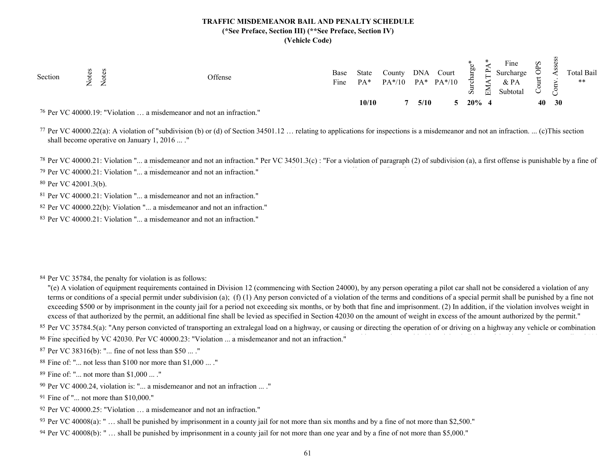| Section | S<br>$\omega$<br>$\vec{R}$<br>$\overline{\phantom{0}}$<br>$\approx$<br>$\leftarrow$ | Offense                                                                          | Base<br>Fine | <b>State</b><br>$PA*$ | County<br>$PA*/10$ | <b>DNA</b> | Court<br>$PA^*$ $PA^*/10$ | ξō<br>ਨ<br>5 | $\mathbf{r}$<br>喬 | Fine<br>Surcharge<br>& PA<br>Subtotal | $\mathbf{S}^{\mathbf{c}}$ | پ               | Total Bail<br>$***$ |
|---------|-------------------------------------------------------------------------------------|----------------------------------------------------------------------------------|--------------|-----------------------|--------------------|------------|---------------------------|--------------|-------------------|---------------------------------------|---------------------------|-----------------|---------------------|
|         |                                                                                     |                                                                                  |              | 10/10                 |                    | 5/10       |                           | $20\%$ 4     |                   |                                       | 40                        | 30 <sup>°</sup> |                     |
|         |                                                                                     | <sup>76</sup> Per VC 40000.19: "Violation  a misdemeanor and not an infraction." |              |                       |                    |            |                           |              |                   |                                       |                           |                 |                     |

77 Per VC 40000.22(a): A violation of "subdivision (b) or (d) of Section 34501.12 … relating to applications for inspections is a misdemeanor and not an infraction. ... (c)This section shall become operative on January 1, 2016 ... ."

<sup>78</sup> Per VC 40000.21: Violation "... a misdemeanor and not an infraction." Per VC 34501.3(c) : "For a violation of paragraph (2) of subdivision (a), a first offense is punishable by a fine of  $79$  Per VC 40000.21: Violation "... a misdemeanor and not an infraction."

80 Per VC 42001.3(b).

81 Per VC 40000.21: Violation "... a misdemeanor and not an infraction."

82 Per VC 40000.22(b): Violation "... a misdemeanor and not an infraction."

83 Per VC 40000.21: Violation "... a misdemeanor and not an infraction."

84 Per VC 35784, the penalty for violation is as follows:

"(e) A violation of equipment requirements contained in Division 12 (commencing with Section 24000), by any person operating a pilot car shall not be considered a violation of any terms or conditions of a special permit under subdivision (a); (f) (1) Any person convicted of a violation of the terms and conditions of a special permit shall be punished by a fine not exceeding \$500 or by imprisonment in the county jail for a period not exceeding six months, or by both that fine and imprisonment. (2) In addition, if the violation involves weight in excess of that authorized by the permit, an additional fine shall be levied as specified in Section 42030 on the amount of weight in excess of the amount authorized by the permit."

85 Per VC 35784.5(a): "Any person convicted of transporting an extralegal load on a highway, or causing or directing the operation of or driving on a highway any vehicle or combination 86 Fine specified by VC 42030. Per VC 40000.23: "Violation ... a misdemeanor and not an infraction."

87 Per VC 38316(b): "... fine of not less than \$50 ... ."

88 Fine of: "... not less than \$100 nor more than \$1,000 ... ."

89 Fine of: "... not more than \$1,000 ... ."

90 Per VC 4000.24, violation is: "... a misdemeanor and not an infraction ... ."

91 Fine of "... not more than \$10,000."

92 Per VC 40000.25: "Violation … a misdemeanor and not an infraction."

<sup>93</sup> Per VC 40008(a): "... shall be punished by imprisonment in a county jail for not more than six months and by a fine of not more than \$2,500."

94 Per VC 40008(b): " … shall be punished by imprisonment in a county jail for not more than one year and by a fine of not more than \$5,000."